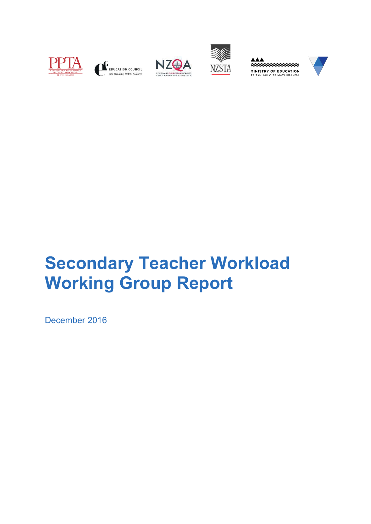











# **Secondary Teacher Workload Working Group Report**

December 2016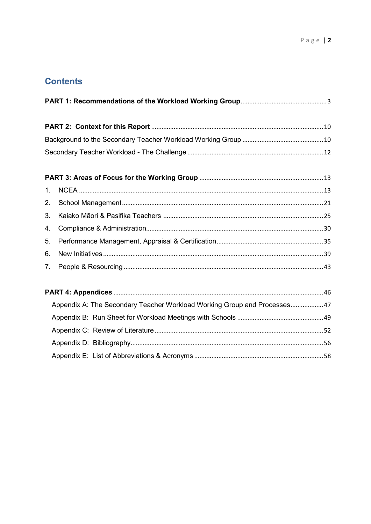# **Contents**

| 1.                                                                        |  |  |
|---------------------------------------------------------------------------|--|--|
| 2.                                                                        |  |  |
| 3.                                                                        |  |  |
| 4.                                                                        |  |  |
| 5.                                                                        |  |  |
| 6.                                                                        |  |  |
| 7.                                                                        |  |  |
|                                                                           |  |  |
| Appendix A: The Secondary Teacher Workload Working Group and Processes 47 |  |  |
|                                                                           |  |  |
|                                                                           |  |  |
|                                                                           |  |  |
|                                                                           |  |  |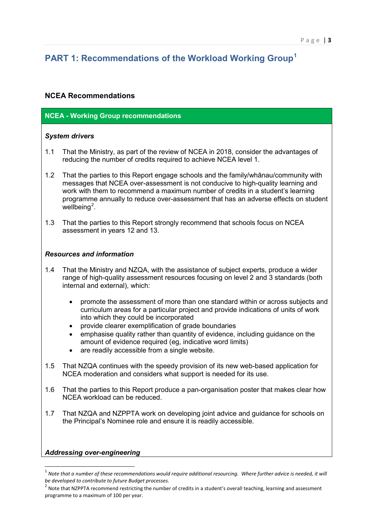# <span id="page-2-0"></span>**PART 1: Recommendations of the Workload Working Group[1](#page-2-1)**

# **NCEA Recommendations**

# **NCEA - Working Group recommendations**

# *System drivers*

- 1.1 That the Ministry, as part of the review of NCEA in 2018, consider the advantages of reducing the number of credits required to achieve NCEA level 1.
- 1.2 That the parties to this Report engage schools and the family/whānau/community with messages that NCEA over-assessment is not conducive to high-quality learning and work with them to recommend a maximum number of credits in a student's learning programme annually to reduce over-assessment that has an adverse effects on student wellbeing<sup>[2](#page-2-2)</sup>.
- 1.3 That the parties to this Report strongly recommend that schools focus on NCEA assessment in years 12 and 13.

# *Resources and information*

- 1.4 That the Ministry and NZQA, with the assistance of subject experts, produce a wider range of high-quality assessment resources focusing on level 2 and 3 standards (both internal and external), which:
	- promote the assessment of more than one standard within or across subjects and curriculum areas for a particular project and provide indications of units of work into which they could be incorporated
	- provide clearer exemplification of grade boundaries
	- emphasise quality rather than quantity of evidence, including guidance on the amount of evidence required (eg, indicative word limits)
	- are readily accessible from a single website.
- 1.5 That NZQA continues with the speedy provision of its new web-based application for NCEA moderation and considers what support is needed for its use.
- 1.6 That the parties to this Report produce a pan-organisation poster that makes clear how NCEA workload can be reduced.
- 1.7 That NZQA and NZPPTA work on developing joint advice and guidance for schools on the Principal's Nominee role and ensure it is readily accessible.

# *Addressing over-engineering*

 $\overline{a}$ 

<span id="page-2-1"></span> $<sup>1</sup>$  Note that a number of these recommendations would require additional resourcing. Where further advice is needed, it will</sup> *be developed to contribute to future Budget processes.*

<span id="page-2-2"></span><sup>2</sup> Note that NZPPTA recommend restricting the number of credits in a student's overall teaching, learning and assessment programme to a maximum of 100 per year.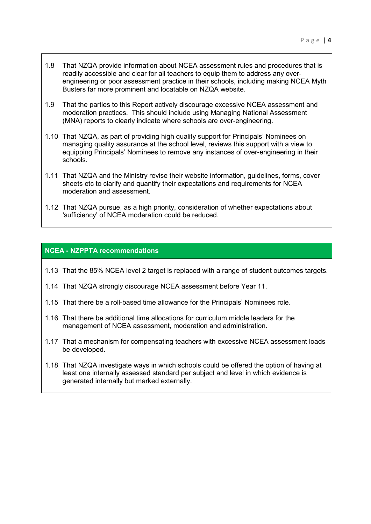- 1.8 That NZQA provide information about NCEA assessment rules and procedures that is readily accessible and clear for all teachers to equip them to address any overengineering or poor assessment practice in their schools, including making NCEA Myth Busters far more prominent and locatable on NZQA website.
- 1.9 That the parties to this Report actively discourage excessive NCEA assessment and moderation practices. This should include using Managing National Assessment (MNA) reports to clearly indicate where schools are over-engineering.
- 1.10 That NZQA, as part of providing high quality support for Principals' Nominees on managing quality assurance at the school level, reviews this support with a view to equipping Principals' Nominees to remove any instances of over-engineering in their schools.
- 1.11 That NZQA and the Ministry revise their website information, guidelines, forms, cover sheets etc to clarify and quantify their expectations and requirements for NCEA moderation and assessment.
- 1.12 That NZQA pursue, as a high priority, consideration of whether expectations about 'sufficiency' of NCEA moderation could be reduced.

# **NCEA - NZPPTA recommendations**

- 1.13 That the 85% NCEA level 2 target is replaced with a range of student outcomes targets.
- 1.14 That NZQA strongly discourage NCEA assessment before Year 11.
- 1.15 That there be a roll-based time allowance for the Principals' Nominees role.
- 1.16 That there be additional time allocations for curriculum middle leaders for the management of NCEA assessment, moderation and administration.
- 1.17 That a mechanism for compensating teachers with excessive NCEA assessment loads be developed.
- 1.18 That NZQA investigate ways in which schools could be offered the option of having at least one internally assessed standard per subject and level in which evidence is generated internally but marked externally.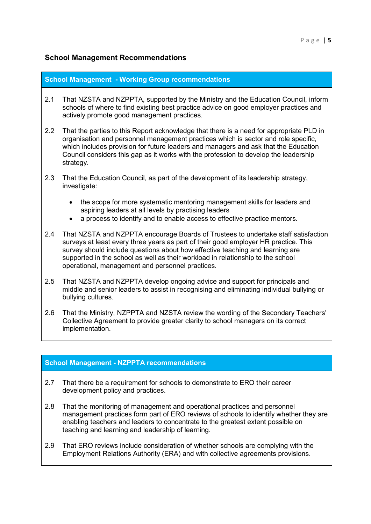# **School Management Recommendations**

#### **School Management - Working Group recommendations**

- 2.1 That NZSTA and NZPPTA, supported by the Ministry and the Education Council, inform schools of where to find existing best practice advice on good employer practices and actively promote good management practices.
- 2.2 That the parties to this Report acknowledge that there is a need for appropriate PLD in organisation and personnel management practices which is sector and role specific, which includes provision for future leaders and managers and ask that the Education Council considers this gap as it works with the profession to develop the leadership strategy.
- 2.3 That the Education Council, as part of the development of its leadership strategy, investigate:
	- the scope for more systematic mentoring management skills for leaders and aspiring leaders at all levels by practising leaders
	- a process to identify and to enable access to effective practice mentors.
- 2.4 That NZSTA and NZPPTA encourage Boards of Trustees to undertake staff satisfaction surveys at least every three years as part of their good employer HR practice. This survey should include questions about how effective teaching and learning are supported in the school as well as their workload in relationship to the school operational, management and personnel practices.
- 2.5 That NZSTA and NZPPTA develop ongoing advice and support for principals and middle and senior leaders to assist in recognising and eliminating individual bullying or bullying cultures.
- 2.6 That the Ministry, NZPPTA and NZSTA review the wording of the Secondary Teachers' Collective Agreement to provide greater clarity to school managers on its correct implementation.

# **School Management - NZPPTA recommendations**

- 2.7 That there be a requirement for schools to demonstrate to ERO their career development policy and practices.
- 2.8 That the monitoring of management and operational practices and personnel management practices form part of ERO reviews of schools to identify whether they are enabling teachers and leaders to concentrate to the greatest extent possible on teaching and learning and leadership of learning.
- 2.9 That ERO reviews include consideration of whether schools are complying with the Employment Relations Authority (ERA) and with collective agreements provisions.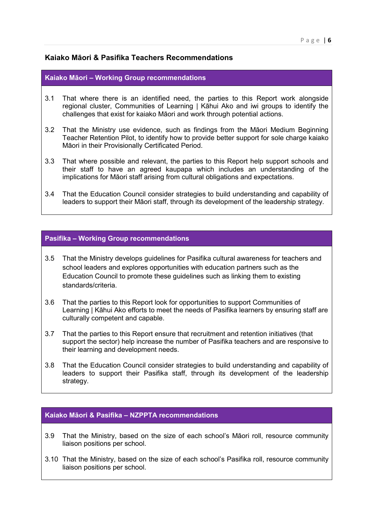# **Kaiako Māori & Pasifika Teachers Recommendations**

#### **Kaiako Māori – Working Group recommendations**

- 3.1 That where there is an identified need, the parties to this Report work alongside regional cluster, Communities of Learning | Kāhui Ako and iwi groups to identify the challenges that exist for kaiako Māori and work through potential actions.
- 3.2 That the Ministry use evidence, such as findings from the Māori Medium Beginning Teacher Retention Pilot, to identify how to provide better support for sole charge kaiako Māori in their Provisionally Certificated Period.
- 3.3 That where possible and relevant, the parties to this Report help support schools and their staff to have an agreed kaupapa which includes an understanding of the implications for Māori staff arising from cultural obligations and expectations.
- 3.4 That the Education Council consider strategies to build understanding and capability of leaders to support their Māori staff, through its development of the leadership strategy.

#### **Pasifika – Working Group recommendations**

- 3.5 That the Ministry develops guidelines for Pasifika cultural awareness for teachers and school leaders and explores opportunities with education partners such as the Education Council to promote these guidelines such as linking them to existing standards/criteria.
- 3.6 That the parties to this Report look for opportunities to support Communities of Learning | Kāhui Ako efforts to meet the needs of Pasifika learners by ensuring staff are culturally competent and capable.
- 3.7 That the parties to this Report ensure that recruitment and retention initiatives (that support the sector) help increase the number of Pasifika teachers and are responsive to their learning and development needs.
- 3.8 That the Education Council consider strategies to build understanding and capability of leaders to support their Pasifika staff, through its development of the leadership strategy.

#### **Kaiako Māori & Pasifika – NZPPTA recommendations**

- 3.9 That the Ministry, based on the size of each school's Māori roll, resource community liaison positions per school.
- 3.10 That the Ministry, based on the size of each school's Pasifika roll, resource community liaison positions per school.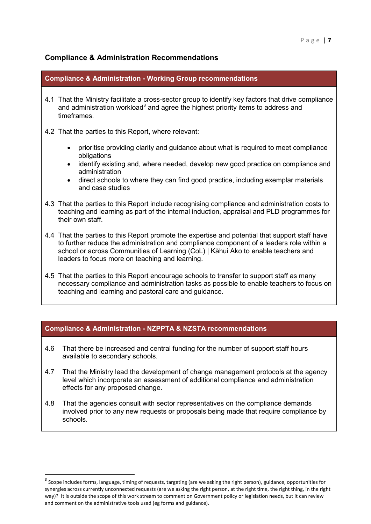# **Compliance & Administration Recommendations**

| <b>Compliance &amp; Administration - Working Group recommendations</b>                                                                                                                                                                                                                                                                      |  |
|---------------------------------------------------------------------------------------------------------------------------------------------------------------------------------------------------------------------------------------------------------------------------------------------------------------------------------------------|--|
| 4.1 That the Ministry facilitate a cross-sector group to identify key factors that drive compliance<br>and administration workload <sup>3</sup> and agree the highest priority items to address and<br>timeframes.                                                                                                                          |  |
| 4.2 That the parties to this Report, where relevant:                                                                                                                                                                                                                                                                                        |  |
| prioritise providing clarity and guidance about what is required to meet compliance<br>obligations<br>identify existing and, where needed, develop new good practice on compliance and<br>$\bullet$<br>administration<br>direct schools to where they can find good practice, including exemplar materials<br>$\bullet$<br>and case studies |  |
| 4.3 That the parties to this Report include recognising compliance and administration costs to<br>teaching and learning as part of the internal induction, appraisal and PLD programmes for<br>their own staff.                                                                                                                             |  |
| 4.4 That the parties to this Report promote the expertise and potential that support staff have<br>to further reduce the administration and compliance component of a leaders role within a<br>school or across Communities of Learning (CoL)   Kāhui Ako to enable teachers and<br>leaders to focus more on teaching and learning.         |  |
| 4.5 That the parties to this Report encourage schools to transfer to support staff as many<br>necessary compliance and administration tasks as possible to enable teachers to focus on                                                                                                                                                      |  |

# **Compliance & Administration - NZPPTA & NZSTA recommendations**

teaching and learning and pastoral care and guidance.

 $\overline{a}$ 

- 4.6 That there be increased and central funding for the number of support staff hours available to secondary schools.
- 4.7 That the Ministry lead the development of change management protocols at the agency level which incorporate an assessment of additional compliance and administration effects for any proposed change.
- 4.8 That the agencies consult with sector representatives on the compliance demands involved prior to any new requests or proposals being made that require compliance by schools.

<span id="page-6-0"></span><sup>&</sup>lt;sup>3</sup> Scope includes forms, language, timing of requests, targeting (are we asking the right person), guidance, opportunities for synergies across currently unconnected requests (are we asking the right person, at the right time, the right thing, in the right way)? It is outside the scope of this work stream to comment on Government policy or legislation needs, but it can review and comment on the administrative tools used (eg forms and guidance).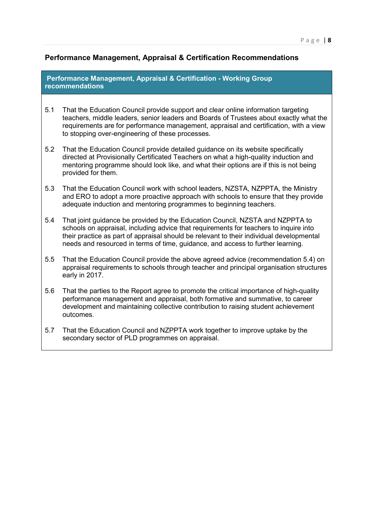# **Performance Management, Appraisal & Certification Recommendations**

**Performance Management, Appraisal & Certification - Working Group recommendations**

- 5.1 That the Education Council provide support and clear online information targeting teachers, middle leaders, senior leaders and Boards of Trustees about exactly what the requirements are for performance management, appraisal and certification, with a view to stopping over-engineering of these processes.
- 5.2 That the Education Council provide detailed guidance on its website specifically directed at Provisionally Certificated Teachers on what a high-quality induction and mentoring programme should look like, and what their options are if this is not being provided for them.
- 5.3 That the Education Council work with school leaders, NZSTA, NZPPTA, the Ministry and ERO to adopt a more proactive approach with schools to ensure that they provide adequate induction and mentoring programmes to beginning teachers.
- 5.4 That joint guidance be provided by the Education Council, NZSTA and NZPPTA to schools on appraisal, including advice that requirements for teachers to inquire into their practice as part of appraisal should be relevant to their individual developmental needs and resourced in terms of time, guidance, and access to further learning.
- 5.5 That the Education Council provide the above agreed advice (recommendation 5.4) on appraisal requirements to schools through teacher and principal organisation structures early in 2017.
- 5.6 That the parties to the Report agree to promote the critical importance of high-quality performance management and appraisal, both formative and summative, to career development and maintaining collective contribution to raising student achievement outcomes.
- 5.7 That the Education Council and NZPPTA work together to improve uptake by the secondary sector of PLD programmes on appraisal.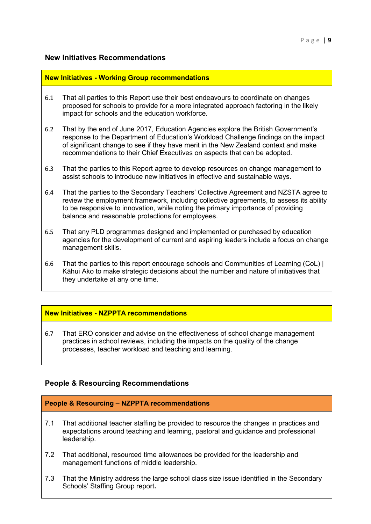# **New Initiatives Recommendations**

#### **New Initiatives - Working Group recommendations**

- 6.1 That all parties to this Report use their best endeavours to coordinate on changes proposed for schools to provide for a more integrated approach factoring in the likely impact for schools and the education workforce.
- 6.2 That by the end of June 2017, Education Agencies explore the British Government's response to the Department of Education's Workload Challenge findings on the impact of significant change to see if they have merit in the New Zealand context and make recommendations to their Chief Executives on aspects that can be adopted.
- 6.3 That the parties to this Report agree to develop resources on change management to assist schools to introduce new initiatives in effective and sustainable ways.
- 6.4 That the parties to the Secondary Teachers' Collective Agreement and NZSTA agree to review the employment framework, including collective agreements, to assess its ability to be responsive to innovation, while noting the primary importance of providing balance and reasonable protections for employees.
- 6.5 That any PLD programmes designed and implemented or purchased by education agencies for the development of current and aspiring leaders include a focus on change management skills.
- 6.6 That the parties to this report encourage schools and Communities of Learning (CoL) | Kāhui Ako to make strategic decisions about the number and nature of initiatives that they undertake at any one time.

# **New Initiatives - NZPPTA recommendations**

6.7 That ERO consider and advise on the effectiveness of school change management practices in school reviews, including the impacts on the quality of the change processes, teacher workload and teaching and learning.

# **People & Resourcing Recommendations**

#### **People & Resourcing – NZPPTA recommendations**

- 7.1 That additional teacher staffing be provided to resource the changes in practices and expectations around teaching and learning, pastoral and guidance and professional leadership.
- 7.2 That additional, resourced time allowances be provided for the leadership and management functions of middle leadership.
- 7.3 That the Ministry address the large school class size issue identified in the Secondary Schools' Staffing Group report**.**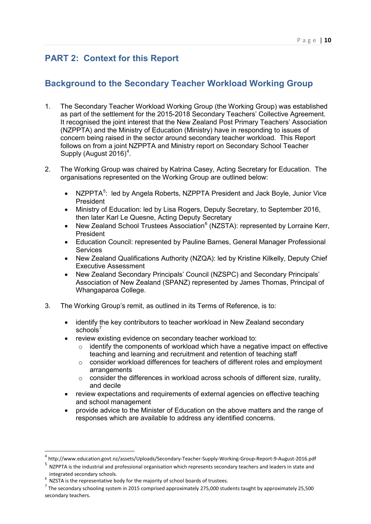# <span id="page-9-0"></span>**PART 2: Context for this Report**

# <span id="page-9-1"></span>**Background to the Secondary Teacher Workload Working Group**

- 1. The Secondary Teacher Workload Working Group (the Working Group) was established as part of the settlement for the 2015-2018 Secondary Teachers' Collective Agreement. It recognised the joint interest that the New Zealand Post Primary Teachers' Association (NZPPTA) and the Ministry of Education (Ministry) have in responding to issues of concern being raised in the sector around secondary teacher workload. This Report follows on from a joint NZPPTA and Ministry report on Secondary School Teacher Supply (August  $2016$ <sup>[4](#page-9-2)</sup>.
- 2. The Working Group was chaired by Katrina Casey, Acting Secretary for Education. The organisations represented on the Working Group are outlined below:
	- NZPPTA<sup>[5](#page-9-3)</sup>: led by Angela Roberts, NZPPTA President and Jack Boyle, Junior Vice President
	- Ministry of Education: led by Lisa Rogers, Deputy Secretary, to September 2016, then later Karl Le Quesne, Acting Deputy Secretary
	- New Zealand School Trustees Association $^6$  $^6$  (NZSTA): represented by Lorraine Kerr, President
	- Education Council: represented by Pauline Barnes, General Manager Professional **Services**
	- New Zealand Qualifications Authority (NZQA): led by Kristine Kilkelly, Deputy Chief Executive Assessment
	- New Zealand Secondary Principals' Council (NZSPC) and Secondary Principals' Association of New Zealand (SPANZ) represented by James Thomas, Principal of Whangaparoa College.
- 3. The Working Group's remit, as outlined in its Terms of Reference, is to:
	- identify the key contributors to teacher workload in New Zealand secondary schools $<sup>7</sup>$  $<sup>7</sup>$  $<sup>7</sup>$ </sup>
	- review existing evidence on secondary teacher workload to:
		- $\circ$  identify the components of workload which have a negative impact on effective teaching and learning and recruitment and retention of teaching staff
		- o consider workload differences for teachers of different roles and employment **arrangements**
		- o consider the differences in workload across schools of different size, rurality, and decile
	- review expectations and requirements of external agencies on effective teaching and school management
	- provide advice to the Minister of Education on the above matters and the range of responses which are available to address any identified concerns.

 $\overline{a}$ 

<span id="page-9-2"></span><sup>4</sup> [http://www.education.govt.nz/assets/Uploads/Secondary-Teacher-Supply-Working-Group-Report-9-August-2016.pdf 5](http://www.education.govt.nz/assets/Uploads/Secondary-Teacher-Supply-Working-Group-Report-9-August-2016.pdf)

<span id="page-9-3"></span><sup>&</sup>lt;sup>5</sup> NZPPTA is the industrial and professional organisation which represents secondary teachers and leaders in state and integrated secondary schools.<br> $6\,$  NZSTA is the representative body for the majority of school boards of trustees.

<span id="page-9-5"></span><span id="page-9-4"></span> $^7$  The secondary schooling system in 2015 comprised approximately 275,000 students taught by approximately 25,500 secondary teachers.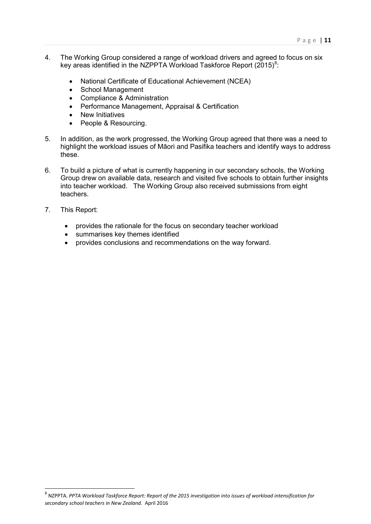- 4. The Working Group considered a range of workload drivers and agreed to focus on six key areas identified in the NZPPTA Workload Taskforce Report (2015) $^8$  $^8$ :
	- National Certificate of Educational Achievement (NCEA)
	- School Management
	- Compliance & Administration
	- Performance Management, Appraisal & Certification
	- **New Initiatives**
	- People & Resourcing.
- 5. In addition, as the work progressed, the Working Group agreed that there was a need to highlight the workload issues of Māori and Pasifika teachers and identify ways to address these.
- 6. To build a picture of what is currently happening in our secondary schools, the Working Group drew on available data, research and visited five schools to obtain further insights into teacher workload. The Working Group also received submissions from eight teachers.
- 7. This Report:

<u>.</u>

- provides the rationale for the focus on secondary teacher workload
- summarises key themes identified
- provides conclusions and recommendations on the way forward.

<span id="page-10-0"></span><sup>8</sup> NZPPTA. *PPTA Workload Taskforce Report: Report of the 2015 investigation into issues of workload intensification for secondary school teachers in New Zealand.* April 2016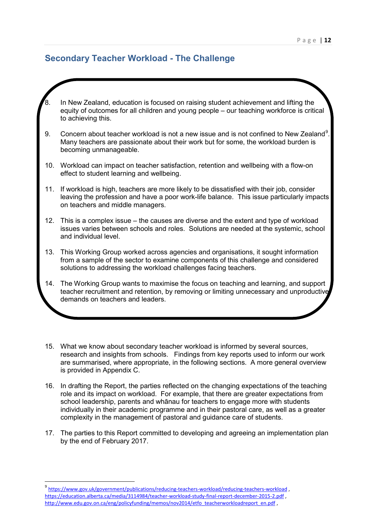# <span id="page-11-0"></span>**Secondary Teacher Workload - The Challenge**

- In New Zealand, education is focused on raising student achievement and lifting the equity of outcomes for all children and young people – our teaching workforce is critical to achieving this. [9](#page-11-2). Concern about teacher workload is not a new issue and is not confined to New Zealand $^9$ . Many teachers are passionate about their work but for some, the workload burden is becoming unmanageable. 10. Workload can impact on teacher satisfaction, retention and wellbeing with a flow-on effect to student learning and wellbeing. 11. If workload is high, teachers are more likely to be dissatisfied with their job, consider leaving the profession and have a poor work-life balance. This issue particularly impacts on teachers and middle managers. 12. This is a complex issue – the causes are diverse and the extent and type of workload issues varies between schools and roles. Solutions are needed at the systemic, school and individual level. 13. This Working Group worked across agencies and organisations, it sought information from a sample of the sector to examine components of this challenge and considered solutions to addressing the workload challenges facing teachers. 14. The Working Group wants to maximise the focus on teaching and learning, and support teacher recruitment and retention, by removing or limiting unnecessary and unproductive demands on teachers and leaders.
	- 15. What we know about secondary teacher workload is informed by several sources, research and insights from schools. Findings from key reports used to inform our work are summarised, where appropriate, in the following sections. A more general overview is provided in Appendix C.
	- 16. In drafting the Report, the parties reflected on the changing expectations of the teaching role and its impact on workload. For example, that there are greater expectations from school leadership, parents and whānau for teachers to engage more with students individually in their academic programme and in their pastoral care, as well as a greater complexity in the management of pastoral and guidance care of students.
	- 17. The parties to this Report committed to developing and agreeing an implementation plan by the end of February 2017.

<span id="page-11-2"></span><span id="page-11-1"></span><sup>9</sup> <https://www.gov.uk/government/publications/reducing-teachers-workload/reducing-teachers-workload> , <https://education.alberta.ca/media/3114984/teacher-workload-study-final-report-december-2015-2.pdf> , [http://www.edu.gov.on.ca/eng/policyfunding/memos/nov2014/etfo\\_teacherworkloadreport\\_en.pdf](http://www.edu.gov.on.ca/eng/policyfunding/memos/nov2014/etfo_teacherworkloadreport_en.pdf) ,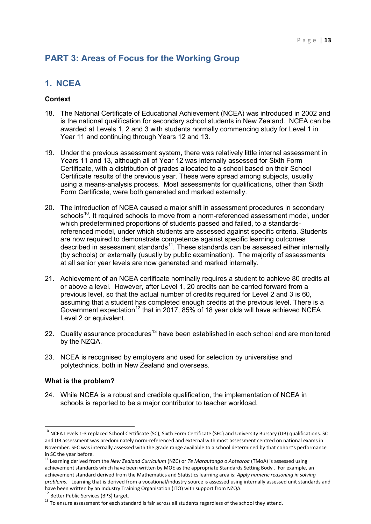# **PART 3: Areas of Focus for the Working Group**

# <span id="page-12-0"></span>**1. NCEA**

# **Context**

- 18. The National Certificate of Educational Achievement (NCEA) was introduced in 2002 and is the national qualification for secondary school students in New Zealand. NCEA can be awarded at Levels 1, 2 and 3 with students normally commencing study for Level 1 in Year 11 and continuing through Years 12 and 13.
- 19. Under the previous assessment system, there was relatively little internal assessment in Years 11 and 13, although all of Year 12 was internally assessed for Sixth Form Certificate, with a distribution of grades allocated to a school based on their School Certificate results of the previous year. These were spread among subjects, usually using a means-analysis process. Most assessments for qualifications, other than Sixth Form Certificate, were both generated and marked externally.
- 20. The introduction of NCEA caused a major shift in assessment procedures in secondary schools<sup>10</sup>. It required schools to move from a norm-referenced assessment model, under which predetermined proportions of students passed and failed, to a standardsreferenced model, under which students are assessed against specific criteria. Students are now required to demonstrate competence against specific learning outcomes described in assessment standards<sup>11</sup>. These standards can be assessed either internally (by schools) or externally (usually by public examination). The majority of assessments at all senior year levels are now generated and marked internally.
- 21. Achievement of an NCEA certificate nominally requires a student to achieve 80 credits at or above a level. However, after Level 1, 20 credits can be carried forward from a previous level, so that the actual number of credits required for Level 2 and 3 is 60, assuming that a student has completed enough credits at the previous level. There is a Government expectation<sup>[12](#page-12-3)</sup> that in 2017, 85% of 18 year olds will have achieved NCEA Level 2 or equivalent.
- 22. Quality assurance procedures<sup>[13](#page-12-4)</sup> have been established in each school and are monitored by the NZQA.
- 23. NCEA is recognised by employers and used for selection by universities and polytechnics, both in New Zealand and overseas.

# **What is the problem?**

<u>.</u>

24. While NCEA is a robust and credible qualification, the implementation of NCEA in schools is reported to be a major contributor to teacher workload.

<span id="page-12-1"></span><sup>&</sup>lt;sup>10</sup> NCEA Levels 1-3 replaced School Certificate (SC), Sixth Form Certificate (SFC) and University Bursary (UB) qualifications. SC and UB assessment was predominately norm-referenced and external with most assessment centred on national exams in November. SFC was internally assessed with the grade range available to a school determined by that cohort's performance in SC the year before.

<span id="page-12-2"></span><sup>11</sup> Learning derived from the *New Zealand Curriculum* (NZC) or *Te Marautanga o Aotearoa* (TMoA) is assessed using achievement standards which have been written by MOE as the appropriate Standards Setting Body . For example, an achievement standard derived from the Mathematics and Statistics learning area is: *Apply numeric reasoning in solving problems*. Learning that is derived from a vocational/industry source is assessed using internally assessed unit standards and have been written by an Industry Training Organisation (ITO) with support from NZQA.<br><sup>12</sup> Better Public Services (BPS) target.<br><sup>13</sup> To ensure assessment for each standard is fair across all students regardless of the schoo

<span id="page-12-4"></span><span id="page-12-3"></span>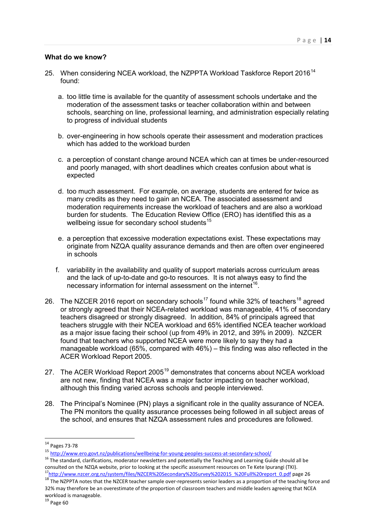#### **What do we know?**

- 25. When considering NCEA workload, the NZPPTA Workload Taskforce Report 2016<sup>[14](#page-13-0)</sup> found:
	- a. too little time is available for the quantity of assessment schools undertake and the moderation of the assessment tasks or teacher collaboration within and between schools, searching on line, professional learning, and administration especially relating to progress of individual students
	- b. over-engineering in how schools operate their assessment and moderation practices which has added to the workload burden
	- c. a perception of constant change around NCEA which can at times be under-resourced and poorly managed, with short deadlines which creates confusion about what is expected
	- d. too much assessment. For example, on average, students are entered for twice as many credits as they need to gain an NCEA. The associated assessment and moderation requirements increase the workload of teachers and are also a workload burden for students. The Education Review Office (ERO) has identified this as a wellbeing issue for secondary school students $15$
	- e. a perception that excessive moderation expectations exist. These expectations may originate from NZQA quality assurance demands and then are often over engineered in schools
	- f. variability in the availability and quality of support materials across curriculum areas and the lack of up-to-date and go-to resources. It is not always easy to find the necessary information for internal assessment on the internet<sup>[16](#page-13-2)</sup>.
- 26. The NZCER 2016 report on secondary schools<sup>[17](#page-13-3)</sup> found while 32% of teachers<sup>[18](#page-13-4)</sup> agreed or strongly agreed that their NCEA-related workload was manageable, 41% of secondary teachers disagreed or strongly disagreed. In addition, 84% of principals agreed that teachers struggle with their NCEA workload and 65% identified NCEA teacher workload as a major issue facing their school (up from 49% in 2012, and 39% in 2009). NZCER found that teachers who supported NCEA were more likely to say they had a manageable workload (65%, compared with 46%) – this finding was also reflected in the ACER Workload Report 2005.
- 27. The ACER Workload Report 2005<sup>[19](#page-13-5)</sup> demonstrates that concerns about NCEA workload are not new, finding that NCEA was a major factor impacting on teacher workload, although this finding varied across schools and people interviewed.
- 28. The Principal's Nominee (PN) plays a significant role in the quality assurance of NCEA. The PN monitors the quality assurance processes being followed in all subject areas of the school, and ensures that NZQA assessment rules and procedures are followed.

 $\overline{a}$ 

<sup>&</sup>lt;sup>14</sup> Pages 73-78

<span id="page-13-2"></span><span id="page-13-1"></span><span id="page-13-0"></span><sup>15</sup> http://www.ero.govt.nz/publications/wellbeing-for-young-peoples-success-at-secondary-school/<br><sup>16</sup> The standard, clarifications, moderator newsletters and potentially the Teaching and Learning Guide should all be consulted on the NZQA website, prior to looking at the specific assessment resources on Te Kete Ipurangi (TKI).<br><sup>17</sup>http://www.nzcer.org.nz/system/files/NZCER%20Secondary%20Survey%202015 %20Full%20report 0.pdf page 26

<span id="page-13-5"></span><span id="page-13-4"></span><span id="page-13-3"></span><sup>&</sup>lt;sup>18</sup>The NZPPTA notes that the NZCER teacher sample over-represents senior leaders as a proportion of the teaching force and 32% may therefore be an overestimate of the proportion of classroom teachers and middle leaders agreeing that NCEA workload is manageable.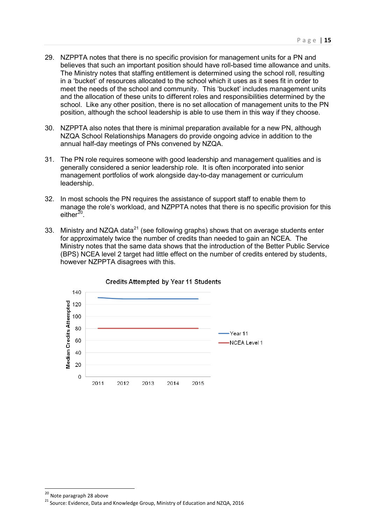- 29. NZPPTA notes that there is no specific provision for management units for a PN and believes that such an important position should have roll-based time allowance and units. The Ministry notes that staffing entitlement is determined using the school roll, resulting in a 'bucket' of resources allocated to the school which it uses as it sees fit in order to meet the needs of the school and community. This 'bucket' includes management units and the allocation of these units to different roles and responsibilities determined by the school. Like any other position, there is no set allocation of management units to the PN position, although the school leadership is able to use them in this way if they choose.
- 30. NZPPTA also notes that there is minimal preparation available for a new PN, although NZQA School Relationships Managers do provide ongoing advice in addition to the annual half-day meetings of PNs convened by NZQA.
- 31. The PN role requires someone with good leadership and management qualities and is generally considered a senior leadership role. It is often incorporated into senior management portfolios of work alongside day-to-day management or curriculum leadership.
- 32. In most schools the PN requires the assistance of support staff to enable them to manage the role's workload, and NZPPTA notes that there is no specific provision for this either $^{20}$ .
- 33. Ministry and NZQA data<sup>[21](#page-14-1)</sup> (see following graphs) shows that on average students enter for approximately twice the number of credits than needed to gain an NCEA. The Ministry notes that the same data shows that the introduction of the Better Public Service (BPS) NCEA level 2 target had little effect on the number of credits entered by students, however NZPPTA disagrees with this.



<u>.</u>

<span id="page-14-0"></span><sup>20</sup> Note paragraph 28 above

<span id="page-14-1"></span><sup>21</sup> Source: Evidence, Data and Knowledge Group, Ministry of Education and NZQA, 2016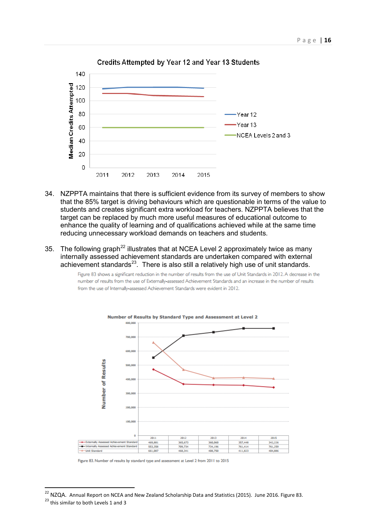

Credits Attempted by Year 12 and Year 13 Students

- 34. NZPPTA maintains that there is sufficient evidence from its survey of members to show that the 85% target is driving behaviours which are questionable in terms of the value to students and creates significant extra workload for teachers. NZPPTA believes that the target can be replaced by much more useful measures of educational outcome to enhance the quality of learning and of qualifications achieved while at the same time reducing unnecessary workload demands on teachers and students.
- 35. The following graph<sup>[22](#page-15-0)</sup> illustrates that at NCEA Level 2 approximately twice as many internally assessed achievement standards are undertaken compared with external achievement standards $^{23}$  $^{23}$  $^{23}$ . There is also still a relatively high use of unit standards.

Figure 83 shows a significant reduction in the number of results from the use of Unit Standards in 2012. A decrease in the number of results from the use of Externally-assessed Achievement Standards and an increase in the number of results from the use of Internally-assessed Achievement Standards were evident in 2012.



Figure 83. Number of results by standard type and assessment at Level 2 from 2011 to 2015

<span id="page-15-1"></span><span id="page-15-0"></span><sup>&</sup>lt;sup>22</sup> NZQA. Annual Report on NCEA and New Zealand Scholarship Data and Statistics (2015). June 2016. Figure 83.<br><sup>23</sup> this similar to both Levels 1 and 3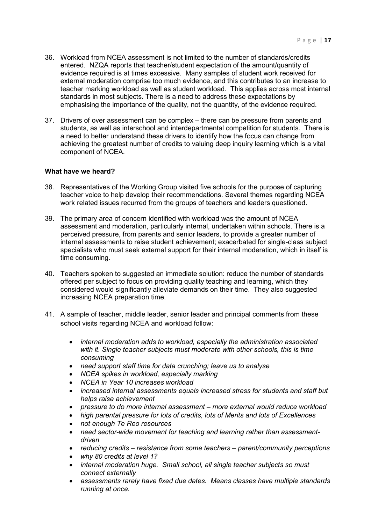- 36. Workload from NCEA assessment is not limited to the number of standards/credits entered. NZQA reports that teacher/student expectation of the amount/quantity of evidence required is at times excessive. Many samples of student work received for external moderation comprise too much evidence, and this contributes to an increase to teacher marking workload as well as student workload. This applies across most internal standards in most subjects. There is a need to address these expectations by emphasising the importance of the quality, not the quantity, of the evidence required.
- 37. Drivers of over assessment can be complex there can be pressure from parents and students, as well as interschool and interdepartmental competition for students. There is a need to better understand these drivers to identify how the focus can change from achieving the greatest number of credits to valuing deep inquiry learning which is a vital component of NCEA.

#### **What have we heard?**

- 38. Representatives of the Working Group visited five schools for the purpose of capturing teacher voice to help develop their recommendations. Several themes regarding NCEA work related issues recurred from the groups of teachers and leaders questioned.
- 39. The primary area of concern identified with workload was the amount of NCEA assessment and moderation, particularly internal, undertaken within schools. There is a perceived pressure, from parents and senior leaders, to provide a greater number of internal assessments to raise student achievement; exacerbated for single-class subject specialists who must seek external support for their internal moderation, which in itself is time consuming.
- 40. Teachers spoken to suggested an immediate solution: reduce the number of standards offered per subject to focus on providing quality teaching and learning, which they considered would significantly alleviate demands on their time. They also suggested increasing NCEA preparation time.
- 41. A sample of teacher, middle leader, senior leader and principal comments from these school visits regarding NCEA and workload follow:
	- *internal moderation adds to workload, especially the administration associated with it. Single teacher subjects must moderate with other schools, this is time consuming*
	- *need support staff time for data crunching; leave us to analyse*
	- *NCEA spikes in workload, especially marking*
	- *NCEA in Year 10 increases workload*
	- *increased internal assessments equals increased stress for students and staff but helps raise achievement*
	- *pressure to do more internal assessment more external would reduce workload*
	- *high parental pressure for lots of credits, lots of Merits and lots of Excellences*
	- *not enough Te Reo resources*
	- *need sector-wide movement for teaching and learning rather than assessmentdriven*
	- *reducing credits resistance from some teachers parent/community perceptions*
	- *why 80 credits at level 1?*
	- *internal moderation huge. Small school, all single teacher subjects so must connect externally*
	- *assessments rarely have fixed due dates. Means classes have multiple standards running at once.*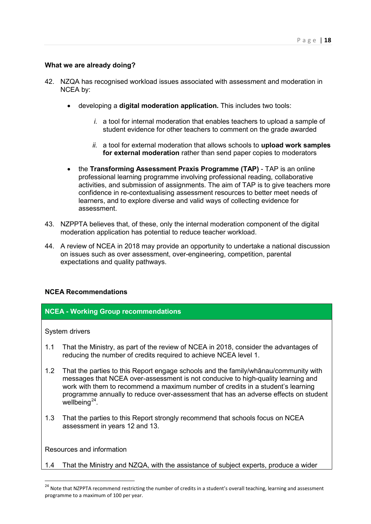# **What we are already doing?**

- 42. NZQA has recognised workload issues associated with assessment and moderation in NCEA by:
	- developing a **digital moderation application.** This includes two tools:
		- *i.* a tool for internal moderation that enables teachers to upload a sample of student evidence for other teachers to comment on the grade awarded
		- *ii.* a tool for external moderation that allows schools to **upload work samples for external moderation** rather than send paper copies to moderators
	- the **Transforming Assessment Praxis Programme (TAP)**  TAP is an online professional learning programme involving professional reading, collaborative activities, and submission of assignments. The aim of TAP is to give teachers more confidence in re-contextualising assessment resources to better meet needs of learners, and to explore diverse and valid ways of collecting evidence for assessment.
- 43. NZPPTA believes that, of these, only the internal moderation component of the digital moderation application has potential to reduce teacher workload.
- 44. A review of NCEA in 2018 may provide an opportunity to undertake a national discussion on issues such as over assessment, over-engineering, competition, parental expectations and quality pathways.

# **NCEA Recommendations**

# **NCEA - Working Group recommendations**

System drivers

- 1.1 That the Ministry, as part of the review of NCEA in 2018, consider the advantages of reducing the number of credits required to achieve NCEA level 1.
- 1.2 That the parties to this Report engage schools and the family/whānau/community with messages that NCEA over-assessment is not conducive to high-quality learning and work with them to recommend a maximum number of credits in a student's learning programme annually to reduce over-assessment that has an adverse effects on student wellbeing $^{24}$  $^{24}$  $^{24}$ .
- 1.3 That the parties to this Report strongly recommend that schools focus on NCEA assessment in years 12 and 13.

Resources and information

**.** 

1.4 That the Ministry and NZQA, with the assistance of subject experts, produce a wider

<span id="page-17-0"></span><sup>&</sup>lt;sup>24</sup> Note that NZPPTA recommend restricting the number of credits in a student's overall teaching, learning and assessment programme to a maximum of 100 per year.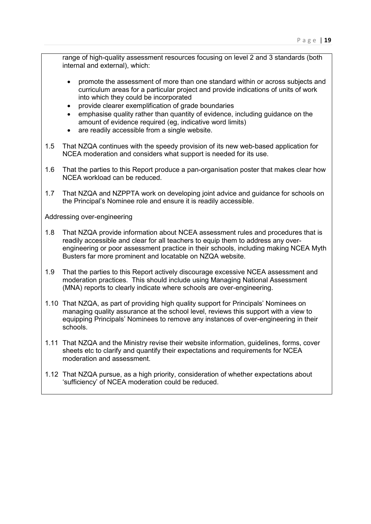range of high-quality assessment resources focusing on level 2 and 3 standards (both internal and external), which:

- promote the assessment of more than one standard within or across subjects and curriculum areas for a particular project and provide indications of units of work into which they could be incorporated
- provide clearer exemplification of grade boundaries
- emphasise quality rather than quantity of evidence, including guidance on the amount of evidence required (eg, indicative word limits)
- are readily accessible from a single website.
- 1.5 That NZQA continues with the speedy provision of its new web-based application for NCEA moderation and considers what support is needed for its use.
- 1.6 That the parties to this Report produce a pan-organisation poster that makes clear how NCEA workload can be reduced.
- 1.7 That NZQA and NZPPTA work on developing joint advice and guidance for schools on the Principal's Nominee role and ensure it is readily accessible.

Addressing over-engineering

- 1.8 That NZQA provide information about NCEA assessment rules and procedures that is readily accessible and clear for all teachers to equip them to address any overengineering or poor assessment practice in their schools, including making NCEA Myth Busters far more prominent and locatable on NZQA website.
- 1.9 That the parties to this Report actively discourage excessive NCEA assessment and moderation practices. This should include using Managing National Assessment (MNA) reports to clearly indicate where schools are over-engineering.
- 1.10 That NZQA, as part of providing high quality support for Principals' Nominees on managing quality assurance at the school level, reviews this support with a view to equipping Principals' Nominees to remove any instances of over-engineering in their schools.
- 1.11 That NZQA and the Ministry revise their website information, guidelines, forms, cover sheets etc to clarify and quantify their expectations and requirements for NCEA moderation and assessment.
- 1.12 That NZQA pursue, as a high priority, consideration of whether expectations about 'sufficiency' of NCEA moderation could be reduced.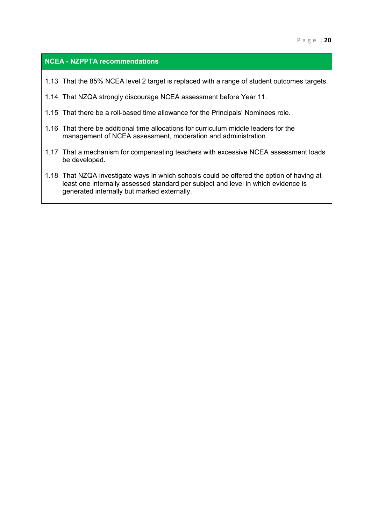# **NCEA - NZPPTA recommendations**

- 1.13 That the 85% NCEA level 2 target is replaced with a range of student outcomes targets.
- 1.14 That NZQA strongly discourage NCEA assessment before Year 11.
- 1.15 That there be a roll-based time allowance for the Principals' Nominees role.
- 1.16 That there be additional time allocations for curriculum middle leaders for the management of NCEA assessment, moderation and administration.
- 1.17 That a mechanism for compensating teachers with excessive NCEA assessment loads be developed.
- 1.18 That NZQA investigate ways in which schools could be offered the option of having at least one internally assessed standard per subject and level in which evidence is generated internally but marked externally.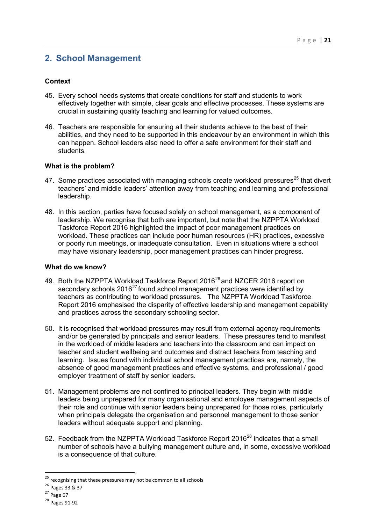# <span id="page-20-0"></span>**2. School Management**

# **Context**

- 45. Every school needs systems that create conditions for staff and students to work effectively together with simple, clear goals and effective processes. These systems are crucial in sustaining quality teaching and learning for valued outcomes.
- 46. Teachers are responsible for ensuring all their students achieve to the best of their abilities, and they need to be supported in this endeavour by an environment in which this can happen. School leaders also need to offer a safe environment for their staff and students.

#### **What is the problem?**

- 47. Some practices associated with managing schools create workload pressures<sup>[25](#page-20-1)</sup> that divert teachers' and middle leaders' attention away from teaching and learning and professional leadership.
- 48. In this section, parties have focused solely on school management, as a component of leadership. We recognise that both are important, but note that the NZPPTA Workload Taskforce Report 2016 highlighted the impact of poor management practices on workload. These practices can include poor human resources (HR) practices, excessive or poorly run meetings, or inadequate consultation. Even in situations where a school may have visionary leadership, poor management practices can hinder progress.

#### **What do we know?**

- 49. Both the NZPPTA Workload Taskforce Report 2016<sup>[26](#page-20-2)</sup> and NZCER 2016 report on secondary schools  $2016^{27}$  $2016^{27}$  $2016^{27}$  found school management practices were identified by teachers as contributing to workload pressures. The NZPPTA Workload Taskforce Report 2016 emphasised the disparity of effective leadership and management capability and practices across the secondary schooling sector.
- 50. It is recognised that workload pressures may result from external agency requirements and/or be generated by principals and senior leaders. These pressures tend to manifest in the workload of middle leaders and teachers into the classroom and can impact on teacher and student wellbeing and outcomes and distract teachers from teaching and learning. Issues found with individual school management practices are, namely, the absence of good management practices and effective systems, and professional / good employer treatment of staff by senior leaders.
- 51. Management problems are not confined to principal leaders. They begin with middle leaders being unprepared for many organisational and employee management aspects of their role and continue with senior leaders being unprepared for those roles, particularly when principals delegate the organisation and personnel management to those senior leaders without adequate support and planning.
- 52. Feedback from the NZPPTA Workload Taskforce Report 2016<sup>[28](#page-20-4)</sup> indicates that a small number of schools have a bullying management culture and, in some, excessive workload is a consequence of that culture.

<sup>&</sup>lt;sup>25</sup> recognising that these pressures may not be common to all schools

<span id="page-20-2"></span><span id="page-20-1"></span><sup>26</sup> Pages 33 & 37

<span id="page-20-3"></span> $27$  Page 67

<span id="page-20-4"></span><sup>28</sup> Pages 91-92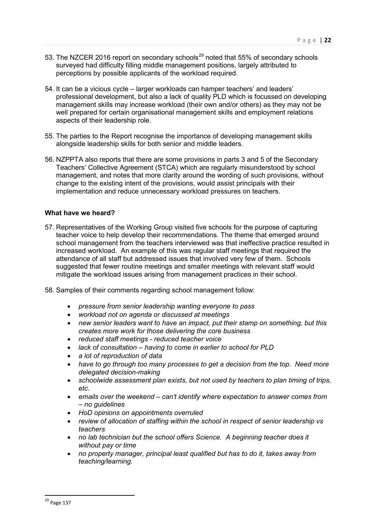- 53. The NZCER 2016 report on secondary schools<sup>[29](#page-21-0)</sup> noted that 55% of secondary schools surveyed had difficulty filling middle management positions, largely attributed to perceptions by possible applicants of the workload required.
- 54. It can be a vicious cycle larger workloads can hamper teachers' and leaders' professional development, but also a lack of quality PLD which is focussed on developing management skills may increase workload (their own and/or others) as they may not be well prepared for certain organisational management skills and employment relations aspects of their leadership role.
- 55. The parties to the Report recognise the importance of developing management skills alongside leadership skills for both senior and middle leaders.
- 56. NZPPTA also reports that there are some provisions in parts 3 and 5 of the Secondary Teachers' Collective Agreement (STCA) which are regularly misunderstood by school management, and notes that more clarity around the wording of such provisions, without change to the existing intent of the provisions, would assist principals with their implementation and reduce unnecessary workload pressures on teachers.

#### **What have we heard?**

- 57. Representatives of the Working Group visited five schools for the purpose of capturing teacher voice to help develop their recommendations. The theme that emerged around school management from the teachers interviewed was that ineffective practice resulted in increased workload. An example of this was regular staff meetings that required the attendance of all staff but addressed issues that involved very few of them. Schools suggested that fewer routine meetings and smaller meetings with relevant staff would mitigate the workload issues arising from management practices in their school.
- 58. Samples of their comments regarding school management follow:
	- *pressure from senior leadership wanting everyone to pass*
	- *workload not on agenda or discussed at meetings*
	- *new senior leaders want to have an impact, put their stamp on something, but this creates more work for those delivering the core business*
	- *reduced staff meetings reduced teacher voice*
	- *lack of consultation having to come in earlier to school for PLD*
	- *a lot of reproduction of data*
	- *have to go through too many processes to get a decision from the top. Need more delegated decision-making*
	- *schoolwide assessment plan exists, but not used by teachers to plan timing of trips, etc.*
	- *emails over the weekend can't identify where expectation to answer comes from – no guidelines*
	- *HoD opinions on appointments overruled*
	- *review of allocation of staffing within the school in respect of senior leadership vs teachers*
	- *no lab technician but the school offers Science. A beginning teacher does it without pay or time*
	- *no property manager, principal least qualified but has to do it, takes away from teaching/learning.*

 $\overline{a}$ 

<span id="page-21-0"></span><sup>&</sup>lt;sup>29</sup> Page 137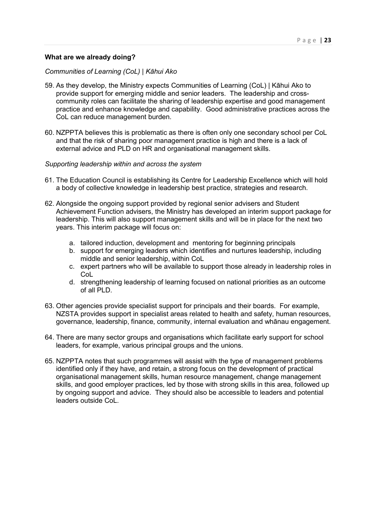#### **What are we already doing?**

#### *Communities of Learning (CoL) | Kāhui Ako*

- 59. As they develop, the Ministry expects Communities of Learning (CoL) | Kāhui Ako to provide support for emerging middle and senior leaders. The leadership and crosscommunity roles can facilitate the sharing of leadership expertise and good management practice and enhance knowledge and capability. Good administrative practices across the CoL can reduce management burden.
- 60. NZPPTA believes this is problematic as there is often only one secondary school per CoL and that the risk of sharing poor management practice is high and there is a lack of external advice and PLD on HR and organisational management skills.

#### *Supporting leadership within and across the system*

- 61. The Education Council is establishing its Centre for Leadership Excellence which will hold a body of collective knowledge in leadership best practice, strategies and research.
- 62. Alongside the ongoing support provided by regional senior advisers and Student Achievement Function advisers, the Ministry has developed an interim support package for leadership. This will also support management skills and will be in place for the next two years. This interim package will focus on:
	- a. tailored induction, development and mentoring for beginning principals
	- b. support for emerging leaders which identifies and nurtures leadership, including middle and senior leadership, within CoL
	- c. expert partners who will be available to support those already in leadership roles in CoL
	- d. strengthening leadership of learning focused on national priorities as an outcome of all PLD.
- 63. Other agencies provide specialist support for principals and their boards. For example, NZSTA provides support in specialist areas related to health and safety, human resources, governance, leadership, finance, community, internal evaluation and whānau engagement.
- 64. There are many sector groups and organisations which facilitate early support for school leaders, for example, various principal groups and the unions.
- 65. NZPPTA notes that such programmes will assist with the type of management problems identified only if they have, and retain, a strong focus on the development of practical organisational management skills, human resource management, change management skills, and good employer practices, led by those with strong skills in this area, followed up by ongoing support and advice. They should also be accessible to leaders and potential leaders outside CoL.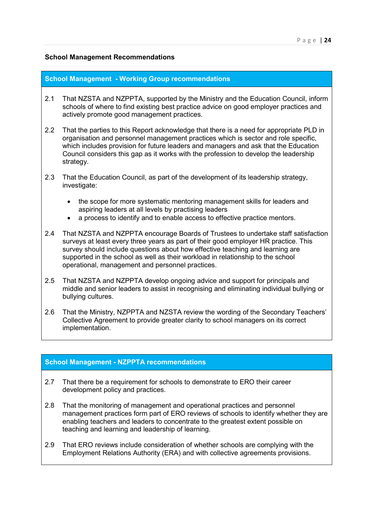### **School Management Recommendations**

#### **School Management - Working Group recommendations**

- 2.1 That NZSTA and NZPPTA, supported by the Ministry and the Education Council, inform schools of where to find existing best practice advice on good employer practices and actively promote good management practices.
- 2.2 That the parties to this Report acknowledge that there is a need for appropriate PLD in organisation and personnel management practices which is sector and role specific, which includes provision for future leaders and managers and ask that the Education Council considers this gap as it works with the profession to develop the leadership strategy.
- 2.3 That the Education Council, as part of the development of its leadership strategy, investigate:
	- the scope for more systematic mentoring management skills for leaders and aspiring leaders at all levels by practising leaders
	- a process to identify and to enable access to effective practice mentors.
- 2.4 That NZSTA and NZPPTA encourage Boards of Trustees to undertake staff satisfaction surveys at least every three years as part of their good employer HR practice. This survey should include questions about how effective teaching and learning are supported in the school as well as their workload in relationship to the school operational, management and personnel practices.
- 2.5 That NZSTA and NZPPTA develop ongoing advice and support for principals and middle and senior leaders to assist in recognising and eliminating individual bullying or bullying cultures.
- 2.6 That the Ministry, NZPPTA and NZSTA review the wording of the Secondary Teachers' Collective Agreement to provide greater clarity to school managers on its correct implementation.

# **School Management - NZPPTA recommendations**

- 2.7 That there be a requirement for schools to demonstrate to ERO their career development policy and practices.
- 2.8 That the monitoring of management and operational practices and personnel management practices form part of ERO reviews of schools to identify whether they are enabling teachers and leaders to concentrate to the greatest extent possible on teaching and learning and leadership of learning.
- 2.9 That ERO reviews include consideration of whether schools are complying with the Employment Relations Authority (ERA) and with collective agreements provisions.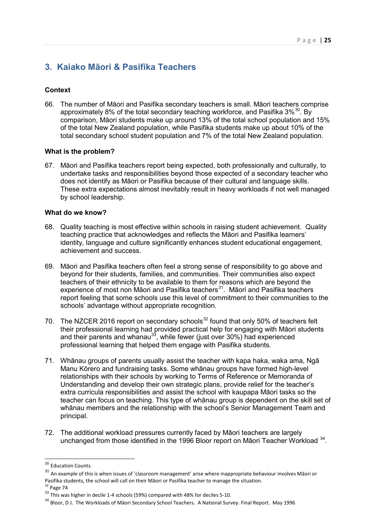# <span id="page-24-0"></span>**3. Kaiako Māori & Pasifika Teachers**

# **Context**

66. The number of Māori and Pasifika secondary teachers is small. Māori teachers comprise approximately 8% of the total secondary teaching workforce, and Pasifika  $3\%$ <sup>[30](#page-24-1)</sup>. By comparison, Māori students make up around 13% of the total school population and 15% of the total New Zealand population, while Pasifika students make up about 10% of the total secondary school student population and 7% of the total New Zealand population.

#### **What is the problem?**

67. Māori and Pasifika teachers report being expected, both professionally and culturally, to undertake tasks and responsibilities beyond those expected of a secondary teacher who does not identify as Māori or Pasifika because of their cultural and language skills. These extra expectations almost inevitably result in heavy workloads if not well managed by school leadership.

#### **What do we know?**

- 68. Quality teaching is most effective within schools in raising student achievement. Quality teaching practice that acknowledges and reflects the Māori and Pasifika learners' identity, language and culture significantly enhances student educational engagement, achievement and success.
- 69. Māori and Pasifika teachers often feel a strong sense of responsibility to go above and beyond for their students, families, and communities. Their communities also expect teachers of their ethnicity to be available to them for reasons which are beyond the experience of most non Māori and Pasifika teachers<sup>[31](#page-24-2)</sup>. Māori and Pasifika teachers report feeling that some schools use this level of commitment to their communities to the schools' advantage without appropriate recognition.
- 70. The NZCER 2016 report on secondary schools<sup>[32](#page-24-3)</sup> found that only 50% of teachers felt their professional learning had provided practical help for engaging with Māori students and their parents and whanau<sup>33</sup>, while fewer (just over 30%) had experienced professional learning that helped them engage with Pasifika students.
- 71. Whānau groups of parents usually assist the teacher with kapa haka, waka ama, Ngā Manu Kōrero and fundraising tasks. Some whānau groups have formed high-level relationships with their schools by working to Terms of Reference or Memoranda of Understanding and develop their own strategic plans, provide relief for the teacher's extra curricula responsibilities and assist the school with kaupapa Māori tasks so the teacher can focus on teaching. This type of whānau group is dependent on the skill set of whānau members and the relationship with the school's Senior Management Team and principal.
- 72. The additional workload pressures currently faced by Māori teachers are largely unchanged from those identified in the 1996 Bloor report on Māori Teacher Workload <sup>34</sup>.

 $\overline{a}$ <sup>30</sup> Education Counts.

<span id="page-24-2"></span><span id="page-24-1"></span> $31$  An example of this is when issues of 'classroom management' arise where inappropriate behaviour involves Māori or Pasifika students, the school will call on their Māori or Pasifika teacher to manage the situation.<br><sup>32</sup> Page 74<br><sup>33</sup> This was higher in decile 1-4 schools (59%) compared with 48% for deciles 5-10.<br><sup>34</sup> Bloor, D J. The Wor

<span id="page-24-4"></span><span id="page-24-3"></span>

<span id="page-24-5"></span>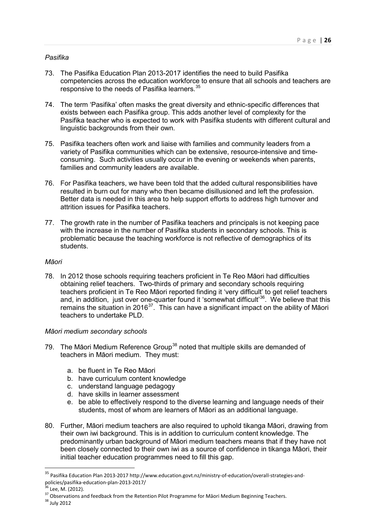# *Pasifika*

- 73. The Pasifika Education Plan 2013-2017 identifies the need to build Pasifika competencies across the education workforce to ensure that all schools and teachers are responsive to the needs of Pasifika learners.<sup>[35](#page-25-0)</sup>
- 74. The term 'Pasifika' often masks the great diversity and ethnic-specific differences that exists between each Pasifika group. This adds another level of complexity for the Pasifika teacher who is expected to work with Pasifika students with different cultural and linguistic backgrounds from their own.
- 75. Pasifika teachers often work and liaise with families and community leaders from a variety of Pasifika communities which can be extensive, resource-intensive and timeconsuming. Such activities usually occur in the evening or weekends when parents, families and community leaders are available.
- 76. For Pasifika teachers, we have been told that the added cultural responsibilities have resulted in burn out for many who then became disillusioned and left the profession. Better data is needed in this area to help support efforts to address high turnover and attrition issues for Pasifika teachers.
- 77. The growth rate in the number of Pasifika teachers and principals is not keeping pace with the increase in the number of Pasifika students in secondary schools. This is problematic because the teaching workforce is not reflective of demographics of its students.

# *Māori*

78. In 2012 those schools requiring teachers proficient in Te Reo Māori had difficulties obtaining relief teachers. Two-thirds of primary and secondary schools requiring teachers proficient in Te Reo Māori reported finding it 'very difficult' to get relief teachers and, in addition, just over one-quarter found it 'somewhat difficult' $36$ . We believe that this remains the situation in 2016<sup>37</sup>. This can have a significant impact on the ability of Māori teachers to undertake PLD.

# *Māori medium secondary schools*

- 79. The Māori Medium Reference Group<sup>[38](#page-25-3)</sup> noted that multiple skills are demanded of teachers in Māori medium. They must:
	- a. be fluent in Te Reo Māori
	- b. have curriculum content knowledge
	- c. understand language pedagogy
	- d. have skills in learner assessment
	- e. be able to effectively respond to the diverse learning and language needs of their students, most of whom are learners of Māori as an additional language.
- 80. Further, Māori medium teachers are also required to uphold tikanga Māori, drawing from their own iwi background. This is in addition to curriculum content knowledge. The predominantly urban background of Māori medium teachers means that if they have not been closely connected to their own iwi as a source of confidence in tikanga Māori, their initial teacher education programmes need to fill this gap.

 $\overline{a}$ 

<span id="page-25-0"></span><sup>&</sup>lt;sup>35</sup> Pasifika Education Plan 2013-2017 http://www.education.govt.nz/ministry-of-education/overall-strategies-andpolicies/pasifika-education-plan-2013-2017/<br><sup>36</sup> Lee, M. (2012).<br><sup>37</sup> Observations and feedback from the Retention Pilot Programme for Māori Medium Beginning Teachers.<br><sup>38</sup> July 2012

<span id="page-25-2"></span><span id="page-25-1"></span>

<span id="page-25-3"></span>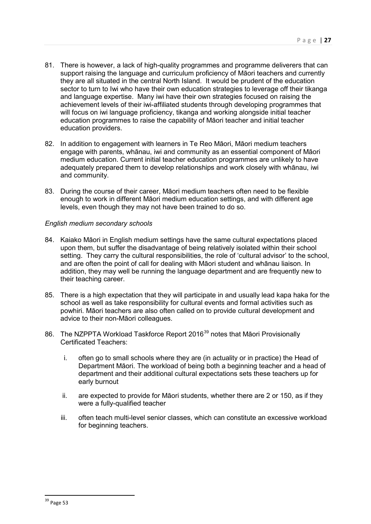- 81. There is however, a lack of high-quality programmes and programme deliverers that can support raising the language and curriculum proficiency of Māori teachers and currently they are all situated in the central North Island. It would be prudent of the education sector to turn to Iwi who have their own education strategies to leverage off their tikanga and language expertise. Many iwi have their own strategies focused on raising the achievement levels of their iwi-affiliated students through developing programmes that will focus on iwi language proficiency, tikanga and working alongside initial teacher education programmes to raise the capability of Māori teacher and initial teacher education providers.
- 82. In addition to engagement with learners in Te Reo Māori, Māori medium teachers engage with parents, whānau, iwi and community as an essential component of Māori medium education. Current initial teacher education programmes are unlikely to have adequately prepared them to develop relationships and work closely with whānau, iwi and community.
- 83. During the course of their career, Māori medium teachers often need to be flexible enough to work in different Māori medium education settings, and with different age levels, even though they may not have been trained to do so.

#### *English medium secondary schools*

- 84. Kaiako Māori in English medium settings have the same cultural expectations placed upon them, but suffer the disadvantage of being relatively isolated within their school setting. They carry the cultural responsibilities, the role of 'cultural advisor' to the school, and are often the point of call for dealing with Māori student and whānau liaison. In addition, they may well be running the language department and are frequently new to their teaching career.
- 85. There is a high expectation that they will participate in and usually lead kapa haka for the school as well as take responsibility for cultural events and formal activities such as powhiri. Māori teachers are also often called on to provide cultural development and advice to their non-Māori colleagues.
- 86. The NZPPTA Workload Taskforce Report 2016<sup>[39](#page-26-0)</sup> notes that Māori Provisionally Certificated Teachers:
	- i. often go to small schools where they are (in actuality or in practice) the Head of Department Māori. The workload of being both a beginning teacher and a head of department and their additional cultural expectations sets these teachers up for early burnout
	- ii. are expected to provide for Māori students, whether there are 2 or 150, as if they were a fully-qualified teacher
	- iii. often teach multi-level senior classes, which can constitute an excessive workload for beginning teachers.

<span id="page-26-0"></span> $\overline{a}$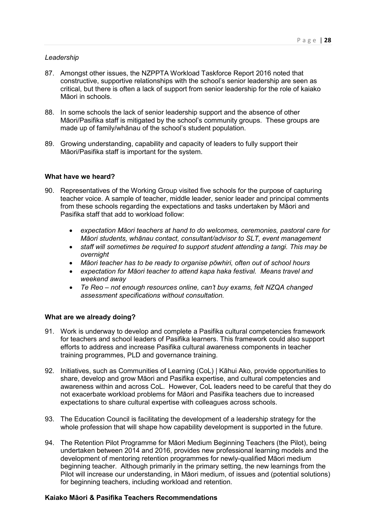#### *Leadership*

- 87. Amongst other issues, the NZPPTA Workload Taskforce Report 2016 noted that constructive, supportive relationships with the school's senior leadership are seen as critical, but there is often a lack of support from senior leadership for the role of kaiako Māori in schools.
- 88. In some schools the lack of senior leadership support and the absence of other Māori/Pasifika staff is mitigated by the school's community groups. These groups are made up of family/whānau of the school's student population.
- 89. Growing understanding, capability and capacity of leaders to fully support their Māori/Pasifika staff is important for the system.

#### **What have we heard?**

- 90. Representatives of the Working Group visited five schools for the purpose of capturing teacher voice. A sample of teacher, middle leader, senior leader and principal comments from these schools regarding the expectations and tasks undertaken by Māori and Pasifika staff that add to workload follow:
	- *expectation Māori teachers at hand to do welcomes, ceremonies, pastoral care for Māori students, whānau contact, consultant/advisor to SLT, event management*
	- *staff will sometimes be required to support student attending a tangi. This may be overnight*
	- *Māori teacher has to be ready to organise pōwhiri, often out of school hours*
	- *expectation for Māori teacher to attend kapa haka festival. Means travel and weekend away*
	- *Te Reo not enough resources online, can't buy exams, felt NZQA changed assessment specifications without consultation.*

#### **What are we already doing?**

- 91. Work is underway to develop and complete a Pasifika cultural competencies framework for teachers and school leaders of Pasifika learners. This framework could also support efforts to address and increase Pasifika cultural awareness components in teacher training programmes, PLD and governance training.
- 92. Initiatives, such as Communities of Learning (CoL) | Kāhui Ako, provide opportunities to share, develop and grow Māori and Pasifika expertise, and cultural competencies and awareness within and across CoL. However, CoL leaders need to be careful that they do not exacerbate workload problems for Māori and Pasifika teachers due to increased expectations to share cultural expertise with colleagues across schools.
- 93. The Education Council is facilitating the development of a leadership strategy for the whole profession that will shape how capability development is supported in the future.
- 94. The Retention Pilot Programme for Māori Medium Beginning Teachers (the Pilot), being undertaken between 2014 and 2016, provides new professional learning models and the development of mentoring retention programmes for newly-qualified Māori medium beginning teacher. Although primarily in the primary setting, the new learnings from the Pilot will increase our understanding, in Māori medium, of issues and (potential solutions) for beginning teachers, including workload and retention.

#### **Kaiako Māori & Pasifika Teachers Recommendations**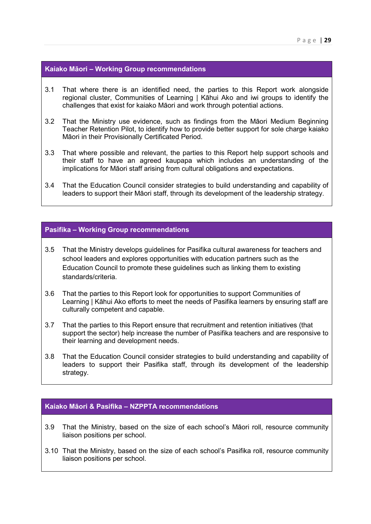#### **Kaiako Māori – Working Group recommendations**

- 3.1 That where there is an identified need, the parties to this Report work alongside regional cluster, Communities of Learning | Kāhui Ako and iwi groups to identify the challenges that exist for kaiako Māori and work through potential actions.
- 3.2 That the Ministry use evidence, such as findings from the Māori Medium Beginning Teacher Retention Pilot, to identify how to provide better support for sole charge kaiako Māori in their Provisionally Certificated Period.
- 3.3 That where possible and relevant, the parties to this Report help support schools and their staff to have an agreed kaupapa which includes an understanding of the implications for Māori staff arising from cultural obligations and expectations.
- 3.4 That the Education Council consider strategies to build understanding and capability of leaders to support their Māori staff, through its development of the leadership strategy.

#### **Pasifika – Working Group recommendations**

- 3.5 That the Ministry develops guidelines for Pasifika cultural awareness for teachers and school leaders and explores opportunities with education partners such as the Education Council to promote these guidelines such as linking them to existing standards/criteria.
- 3.6 That the parties to this Report look for opportunities to support Communities of Learning | Kāhui Ako efforts to meet the needs of Pasifika learners by ensuring staff are culturally competent and capable.
- 3.7 That the parties to this Report ensure that recruitment and retention initiatives (that support the sector) help increase the number of Pasifika teachers and are responsive to their learning and development needs.
- 3.8 That the Education Council consider strategies to build understanding and capability of leaders to support their Pasifika staff, through its development of the leadership strategy.

#### **Kaiako Māori & Pasifika – NZPPTA recommendations**

- 3.9 That the Ministry, based on the size of each school's Māori roll, resource community liaison positions per school.
- <span id="page-28-0"></span>3.10 That the Ministry, based on the size of each school's Pasifika roll, resource community liaison positions per school.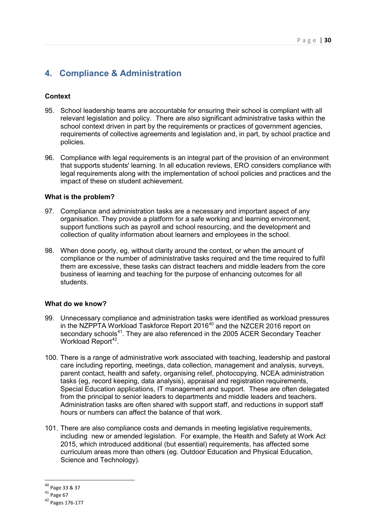# **4. Compliance & Administration**

# **Context**

- 95. School leadership teams are accountable for ensuring their school is compliant with all relevant legislation and policy. There are also significant administrative tasks within the school context driven in part by the requirements or practices of government agencies, requirements of collective agreements and legislation and, in part, by school practice and policies.
- 96. Compliance with legal requirements is an integral part of the provision of an environment that supports students' learning. In all education reviews, ERO considers compliance with legal requirements along with the implementation of school policies and practices and the impact of these on student achievement.

#### **What is the problem?**

- 97. Compliance and administration tasks are a necessary and important aspect of any organisation. They provide a platform for a safe working and learning environment, support functions such as payroll and school resourcing, and the development and collection of quality information about learners and employees in the school.
- 98. When done poorly, eg, without clarity around the context, or when the amount of compliance or the number of administrative tasks required and the time required to fulfil them are excessive, these tasks can distract teachers and middle leaders from the core business of learning and teaching for the purpose of enhancing outcomes for all students.

# **What do we know?**

- 99. Unnecessary compliance and administration tasks were identified as workload pressures in the NZPPTA Workload Taskforce Report 2016<sup>[40](#page-29-0)</sup> and the NZCER 2016 report on secondary schools<sup>[41](#page-29-1)</sup>. They are also referenced in the 2005 ACER Secondary Teacher Workload Report<sup>42</sup>.
- 100. There is a range of administrative work associated with teaching, leadership and pastoral care including reporting, meetings, data collection, management and analysis, surveys, parent contact, health and safety, organising relief, photocopying, NCEA administration tasks (eg, record keeping, data analysis), appraisal and registration requirements, Special Education applications, IT management and support. These are often delegated from the principal to senior leaders to departments and middle leaders and teachers. Administration tasks are often shared with support staff, and reductions in support staff hours or numbers can affect the balance of that work.
- 101. There are also compliance costs and demands in meeting legislative requirements, including new or amended legislation. For example, the Health and Safety at Work Act 2015, which introduced additional (but essential) requirements, has affected some curriculum areas more than others (eg. Outdoor Education and Physical Education, Science and Technology).

 $\overline{a}$ <sup>40</sup> Page 33 & 37

<span id="page-29-1"></span><span id="page-29-0"></span> $41$  Page 67

<span id="page-29-2"></span><sup>42</sup> Pages 176-177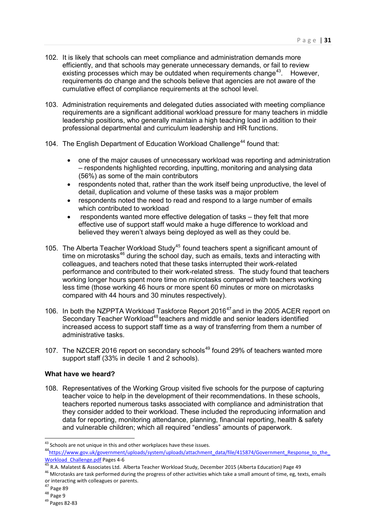- 102. It is likely that schools can meet compliance and administration demands more efficiently, and that schools may generate unnecessary demands, or fail to review existing processes which may be outdated when requirements change<sup>43</sup>. However, requirements do change and the schools believe that agencies are not aware of the cumulative effect of compliance requirements at the school level.
- 103. Administration requirements and delegated duties associated with meeting compliance requirements are a significant additional workload pressure for many teachers in middle leadership positions, who generally maintain a high teaching load in addition to their professional departmental and curriculum leadership and HR functions.
- 104. The English Department of Education Workload Challenge<sup>[44](#page-30-1)</sup> found that:
	- one of the major causes of unnecessary workload was reporting and administration – respondents highlighted recording, inputting, monitoring and analysing data (56%) as some of the main contributors
	- respondents noted that, rather than the work itself being unproductive, the level of detail, duplication and volume of these tasks was a major problem
	- respondents noted the need to read and respond to a large number of emails which contributed to workload
	- respondents wanted more effective delegation of tasks they felt that more effective use of support staff would make a huge difference to workload and believed they weren't always being deployed as well as they could be.
- 105. The Alberta Teacher Workload Study<sup>[45](#page-30-2)</sup> found teachers spent a significant amount of time on microtasks<sup>[46](#page-30-3)</sup> during the school day, such as emails, texts and interacting with colleagues, and teachers noted that these tasks interrupted their work-related performance and contributed to their work-related stress. The study found that teachers working longer hours spent more time on microtasks compared with teachers working less time (those working 46 hours or more spent 60 minutes or more on microtasks compared with 44 hours and 30 minutes respectively).
- 106. In both the NZPPTA Workload Taskforce Report 2016<sup>[47](#page-30-4)</sup> and in the 2005 ACER report on Secondary Teacher Workload<sup>[48](#page-30-5)</sup> teachers and middle and senior leaders identified increased access to support staff time as a way of transferring from them a number of administrative tasks.
- 107. The NZCER 2016 report on secondary schools<sup>[49](#page-30-6)</sup> found 29% of teachers wanted more support staff (33% in decile 1 and 2 schools).

#### **What have we heard?**

108. Representatives of the Working Group visited five schools for the purpose of capturing teacher voice to help in the development of their recommendations. In these schools, teachers reported numerous tasks associated with compliance and administration that they consider added to their workload. These included the reproducing information and data for reporting, monitoring attendance, planning, financial reporting, health & safety and vulnerable children; which all required "endless" amounts of paperwork.

 $\overline{a}$ 

<span id="page-30-1"></span><span id="page-30-0"></span><sup>&</sup>lt;sup>43</sup> Schools are not unique in this and other workplaces have these issues.<br> $44$ https://www.gov.uk/government/uploads/system/uploads/attachment\_data/file/415874/Government\_Response\_to\_the\_ Workload Challenge.pdf Pages 4-6<br>
<sup>45</sup> R.A. Malatest & Associates Ltd. Alberta Teacher Workload Study, December 2015 (Alberta Education) Page 49<br>
<sup>46</sup> MIcrotasks are task performed during the progress of other activities w

<span id="page-30-2"></span>

<span id="page-30-3"></span>or interacting with colleagues or parents.

<sup>&</sup>lt;sup>47</sup> Page 89

<span id="page-30-5"></span><span id="page-30-4"></span> $48 \nPage 9$ 

<span id="page-30-6"></span><sup>49</sup> Pages 82-83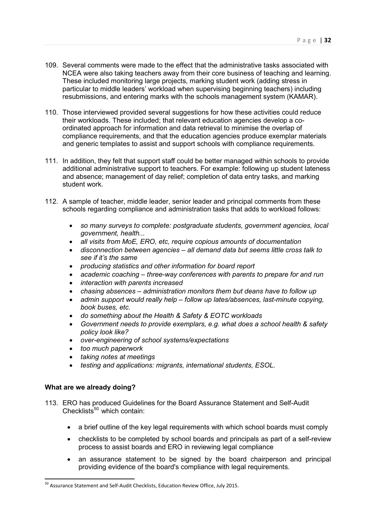- 109. Several comments were made to the effect that the administrative tasks associated with NCEA were also taking teachers away from their core business of teaching and learning. These included monitoring large projects, marking student work (adding stress in particular to middle leaders' workload when supervising beginning teachers) including resubmissions, and entering marks with the schools management system (KAMAR).
- 110. Those interviewed provided several suggestions for how these activities could reduce their workloads. These included; that relevant education agencies develop a coordinated approach for information and data retrieval to minimise the overlap of compliance requirements, and that the education agencies produce exemplar materials and generic templates to assist and support schools with compliance requirements.
- 111. In addition, they felt that support staff could be better managed within schools to provide additional administrative support to teachers. For example: following up student lateness and absence; management of day relief; completion of data entry tasks, and marking student work.
- 112. A sample of teacher, middle leader, senior leader and principal comments from these schools regarding compliance and administration tasks that adds to workload follows:
	- *so many surveys to complete: postgraduate students, government agencies, local government, health...*
	- *all visits from MoE, ERO, etc, require copious amounts of documentation*
	- *disconnection between agencies all demand data but seems little cross talk to see if it's the same*
	- *producing statistics and other information for board report*
	- *academic coaching three-way conferences with parents to prepare for and run*
	- *interaction with parents increased*
	- *chasing absences administration monitors them but deans have to follow up*
	- *admin support would really help follow up lates/absences, last-minute copying, book buses, etc.*
	- *do something about the Health & Safety & EOTC workloads*
	- *Government needs to provide exemplars, e.g. what does a school health & safety policy look like?*
	- *over-engineering of school systems/expectations*
	- *too much paperwork*
	- *taking notes at meetings*
	- *testing and applications: migrants, international students, ESOL.*

#### **What are we already doing?**

<u>.</u>

- 113. ERO has produced Guidelines for the Board Assurance Statement and Self-Audit Checklists $50$  which contain:
	- a brief outline of the key legal requirements with which school boards must comply
	- checklists to be completed by school boards and principals as part of a self-review process to assist boards and ERO in reviewing legal compliance
	- an assurance statement to be signed by the board chairperson and principal providing evidence of the board's compliance with legal requirements.

<span id="page-31-0"></span><sup>50</sup> Assurance Statement and Self-Audit Checklists, Education Review Office, July 2015.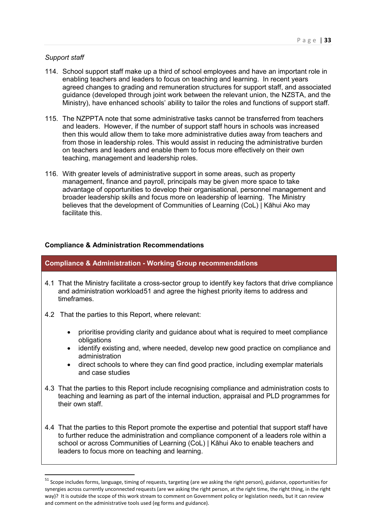#### *Support staff*

 $\overline{a}$ 

- 114. School support staff make up a third of school employees and have an important role in enabling teachers and leaders to focus on teaching and learning. In recent years agreed changes to grading and remuneration structures for support staff, and associated guidance (developed through joint work between the relevant union, the NZSTA, and the Ministry), have enhanced schools' ability to tailor the roles and functions of support staff.
- 115. The NZPPTA note that some administrative tasks cannot be transferred from teachers and leaders. However, if the number of support staff hours in schools was increased then this would allow them to take more administrative duties away from teachers and from those in leadership roles. This would assist in reducing the administrative burden on teachers and leaders and enable them to focus more effectively on their own teaching, management and leadership roles.
- 116. With greater levels of administrative support in some areas, such as property management, finance and payroll, principals may be given more space to take advantage of opportunities to develop their organisational, personnel management and broader leadership skills and focus more on leadership of learning. The Ministry believes that the development of Communities of Learning (CoL) | Kāhui Ako may facilitate this.

#### **Compliance & Administration Recommendations**

#### **Compliance & Administration - Working Group recommendations**

- 4.1 That the Ministry facilitate a cross-sector group to identify key factors that drive compliance and administration workload[51](#page-32-0) and agree the highest priority items to address and timeframes.
- 4.2 That the parties to this Report, where relevant:
	- prioritise providing clarity and guidance about what is required to meet compliance obligations
	- identify existing and, where needed, develop new good practice on compliance and administration
	- direct schools to where they can find good practice, including exemplar materials and case studies
- 4.3 That the parties to this Report include recognising compliance and administration costs to teaching and learning as part of the internal induction, appraisal and PLD programmes for their own staff.
- 4.4 That the parties to this Report promote the expertise and potential that support staff have to further reduce the administration and compliance component of a leaders role within a school or across Communities of Learning (CoL) | Kāhui Ako to enable teachers and leaders to focus more on teaching and learning.

<span id="page-32-0"></span> $51$  Scope includes forms, language, timing of requests, targeting (are we asking the right person), guidance, opportunities for synergies across currently unconnected requests (are we asking the right person, at the right time, the right thing, in the right way)? It is outside the scope of this work stream to comment on Government policy or legislation needs, but it can review and comment on the administrative tools used (eg forms and guidance).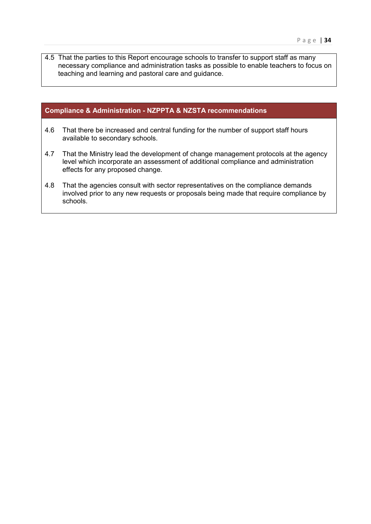4.5 That the parties to this Report encourage schools to transfer to support staff as many necessary compliance and administration tasks as possible to enable teachers to focus on teaching and learning and pastoral care and guidance.

# **Compliance & Administration - NZPPTA & NZSTA recommendations**

- 4.6 That there be increased and central funding for the number of support staff hours available to secondary schools.
- 4.7 That the Ministry lead the development of change management protocols at the agency level which incorporate an assessment of additional compliance and administration effects for any proposed change.
- 4.8 That the agencies consult with sector representatives on the compliance demands involved prior to any new requests or proposals being made that require compliance by schools.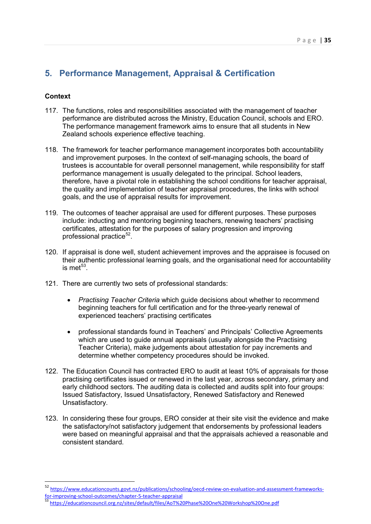# <span id="page-34-0"></span>**5. Performance Management, Appraisal & Certification**

# **Context**

- 117. The functions, roles and responsibilities associated with the management of teacher performance are distributed across the Ministry, Education Council, schools and ERO. The performance management framework aims to ensure that all students in New Zealand schools experience effective teaching.
- 118. The framework for teacher performance management incorporates both accountability and improvement purposes. In the context of self-managing schools, the board of trustees is accountable for overall personnel management, while responsibility for staff performance management is usually delegated to the principal. School leaders, therefore, have a pivotal role in establishing the school conditions for teacher appraisal, the quality and implementation of teacher appraisal procedures, the links with school goals, and the use of appraisal results for improvement.
- 119. The outcomes of teacher appraisal are used for different purposes. These purposes include: inducting and mentoring beginning teachers, renewing teachers' practising certificates, attestation for the purposes of salary progression and improving professional practice $52$ .
- 120. If appraisal is done well, student achievement improves and the appraisee is focused on their authentic professional learning goals, and the organisational need for accountability is met $^{53}$
- 121. There are currently two sets of professional standards:
	- *Practising Teacher Criteria* which guide decisions about whether to recommend beginning teachers for full certification and for the three-yearly renewal of experienced teachers' practising certificates
	- professional standards found in Teachers' and Principals' Collective Agreements which are used to guide annual appraisals (usually alongside the Practising Teacher Criteria), make judgements about attestation for pay increments and determine whether competency procedures should be invoked.
- 122. The Education Council has contracted ERO to audit at least 10% of appraisals for those practising certificates issued or renewed in the last year, across secondary, primary and early childhood sectors. The auditing data is collected and audits split into four groups: Issued Satisfactory, Issued Unsatisfactory, Renewed Satisfactory and Renewed Unsatisfactory.
- 123. In considering these four groups, ERO consider at their site visit the evidence and make the satisfactory/not satisfactory judgement that endorsements by professional leaders were based on meaningful appraisal and that the appraisals achieved a reasonable and consistent standard.

<span id="page-34-1"></span><sup>52</sup> https://www.educationcounts.govt.nz/publications/schooling/oecd-review-on-evaluation-and-assessment-frameworks-<br>for-improving-school-outcomes/chapter-5-teacher-appraisal

<span id="page-34-2"></span>for-improving-approving-approving-approving-approving-approving-approving-approving-approving-approving-approv<br>approximation-approving-approving-approving-approving-approving-approving-approving-approving-approving-approv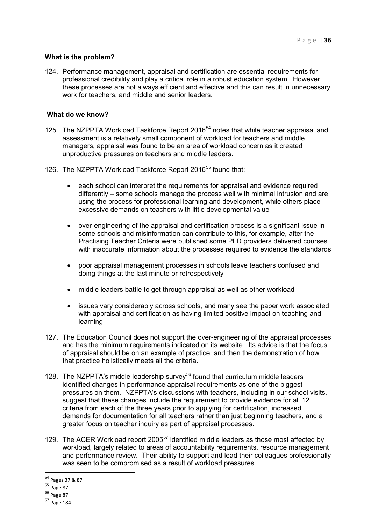#### **What is the problem?**

124. Performance management, appraisal and certification are essential requirements for professional credibility and play a critical role in a robust education system. However, these processes are not always efficient and effective and this can result in unnecessary work for teachers, and middle and senior leaders.

#### **What do we know?**

- 125. The NZPPTA Workload Taskforce Report 2016<sup>[54](#page-35-0)</sup> notes that while teacher appraisal and assessment is a relatively small component of workload for teachers and middle managers, appraisal was found to be an area of workload concern as it created unproductive pressures on teachers and middle leaders.
- 126. The NZPPTA Workload Taskforce Report 2016<sup>[55](#page-35-1)</sup> found that:
	- each school can interpret the requirements for appraisal and evidence required differently – some schools manage the process well with minimal intrusion and are using the process for professional learning and development, while others place excessive demands on teachers with little developmental value
	- over-engineering of the appraisal and certification process is a significant issue in some schools and misinformation can contribute to this, for example, after the Practising Teacher Criteria were published some PLD providers delivered courses with inaccurate information about the processes required to evidence the standards
	- poor appraisal management processes in schools leave teachers confused and doing things at the last minute or retrospectively
	- middle leaders battle to get through appraisal as well as other workload
	- issues vary considerably across schools, and many see the paper work associated with appraisal and certification as having limited positive impact on teaching and learning.
- 127. The Education Council does not support the over-engineering of the appraisal processes and has the minimum requirements indicated on its website. Its advice is that the focus of appraisal should be on an example of practice, and then the demonstration of how that practice holistically meets all the criteria.
- 128. The NZPPTA's middle leadership survey<sup>[56](#page-35-2)</sup> found that curriculum middle leaders identified changes in performance appraisal requirements as one of the biggest pressures on them. NZPPTA's discussions with teachers, including in our school visits, suggest that these changes include the requirement to provide evidence for all 12 criteria from each of the three years prior to applying for certification, increased demands for documentation for all teachers rather than just beginning teachers, and a greater focus on teacher inquiry as part of appraisal processes.
- 129. The ACER Workload report 2005<sup>[57](#page-35-3)</sup> identified middle leaders as those most affected by workload, largely related to areas of accountability requirements, resource management and performance review. Their ability to support and lead their colleagues professionally was seen to be compromised as a result of workload pressures.

<sup>&</sup>lt;sup>54</sup> Pages 37 & 87<br><sup>55</sup> Page 87

<span id="page-35-1"></span><span id="page-35-0"></span> $55$  Page 87<br> $56$  Page 87

<span id="page-35-3"></span><span id="page-35-2"></span><sup>57</sup> Page 184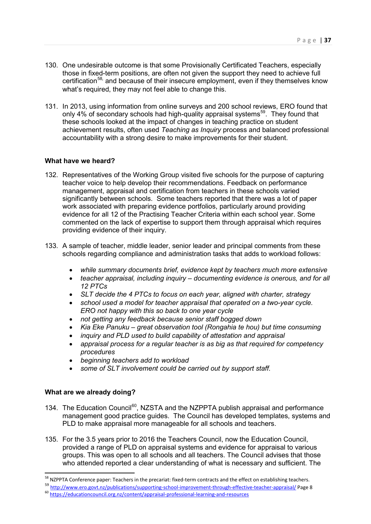- 130. One undesirable outcome is that some Provisionally Certificated Teachers, especially those in fixed-term positions, are often not given the support they need to achieve full certification<sup>[58](#page-36-0),</sup> and because of their insecure employment, even if they themselves know what's required, they may not feel able to change this.
- 131. In 2013, using information from online surveys and 200 school reviews, ERO found that only 4% of secondary schools had high-quality appraisal systems<sup>59</sup>. They found that these schools looked at the impact of changes in teaching practice on student achievement results, often used *Teaching as Inquiry* process and balanced professional accountability with a strong desire to make improvements for their student.

#### **What have we heard?**

- 132. Representatives of the Working Group visited five schools for the purpose of capturing teacher voice to help develop their recommendations. Feedback on performance management, appraisal and certification from teachers in these schools varied significantly between schools. Some teachers reported that there was a lot of paper work associated with preparing evidence portfolios, particularly around providing evidence for all 12 of the Practising Teacher Criteria within each school year. Some commented on the lack of expertise to support them through appraisal which requires providing evidence of their inquiry.
- 133. A sample of teacher, middle leader, senior leader and principal comments from these schools regarding compliance and administration tasks that adds to workload follows:
	- *while summary documents brief, evidence kept by teachers much more extensive*
	- *teacher appraisal, including inquiry documenting evidence is onerous, and for all 12 PTCs*
	- *SLT decide the 4 PTCs to focus on each year, aligned with charter, strategy*
	- *school used a model for teacher appraisal that operated on a two-year cycle. ERO not happy with this so back to one year cycle*
	- *not getting any feedback because senior staff bogged down*
	- *Kia Eke Panuku great observation tool (Rongahia te hou) but time consuming*
	- *inquiry and PLD used to build capability of attestation and appraisal*
	- *appraisal process for a regular teacher is as big as that required for competency procedures*
	- *beginning teachers add to workload*
	- *some of SLT involvement could be carried out by support staff.*

# **What are we already doing?**

- 134. The Education Council<sup>[60](#page-36-2)</sup>, NZSTA and the NZPPTA publish appraisal and performance management good practice guides. The Council has developed templates, systems and PLD to make appraisal more manageable for all schools and teachers.
- 135. For the 3.5 years prior to 2016 the Teachers Council, now the Education Council, provided a range of PLD on appraisal systems and evidence for appraisal to various groups. This was open to all schools and all teachers. The Council advises that those who attended reported a clear understanding of what is necessary and sufficient. The

<span id="page-36-0"></span><sup>&</sup>lt;sup>58</sup> NZPPTA Conference paper: Teachers in the precariat: fixed-term contracts and the effect on establishing teachers.<br><sup>59</sup> http://www.ero.govt.n<u>z/publications/supporting-school-improvement-through-effective-teacher-appr</u>

<span id="page-36-2"></span><span id="page-36-1"></span><sup>60</sup> <https://educationcouncil.org.nz/content/appraisal-professional-learning-and-resources>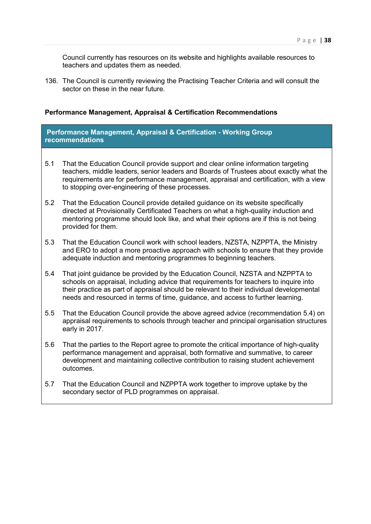Council currently has resources on its website and highlights available resources to teachers and updates them as needed.

136. The Council is currently reviewing the Practising Teacher Criteria and will consult the sector on these in the near future.

#### **Performance Management, Appraisal & Certification Recommendations**

**Performance Management, Appraisal & Certification - Working Group recommendations**

- 5.1 That the Education Council provide support and clear online information targeting teachers, middle leaders, senior leaders and Boards of Trustees about exactly what the requirements are for performance management, appraisal and certification, with a view to stopping over-engineering of these processes.
- 5.2 That the Education Council provide detailed guidance on its website specifically directed at Provisionally Certificated Teachers on what a high-quality induction and mentoring programme should look like, and what their options are if this is not being provided for them.
- 5.3 That the Education Council work with school leaders, NZSTA, NZPPTA, the Ministry and ERO to adopt a more proactive approach with schools to ensure that they provide adequate induction and mentoring programmes to beginning teachers.
- 5.4 That joint guidance be provided by the Education Council, NZSTA and NZPPTA to schools on appraisal, including advice that requirements for teachers to inquire into their practice as part of appraisal should be relevant to their individual developmental needs and resourced in terms of time, guidance, and access to further learning.
- 5.5 That the Education Council provide the above agreed advice (recommendation 5.4) on appraisal requirements to schools through teacher and principal organisation structures early in 2017.
- 5.6 That the parties to the Report agree to promote the critical importance of high-quality performance management and appraisal, both formative and summative, to career development and maintaining collective contribution to raising student achievement outcomes.
- <span id="page-37-0"></span>5.7 That the Education Council and NZPPTA work together to improve uptake by the secondary sector of PLD programmes on appraisal.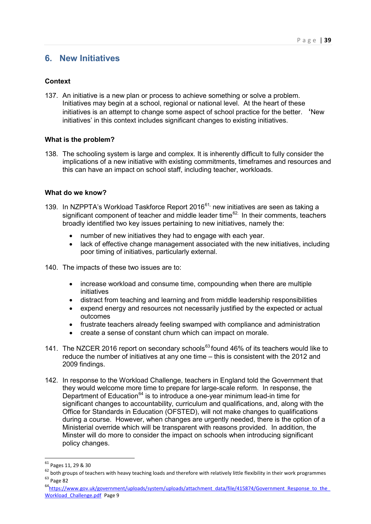# **6. New Initiatives**

# **Context**

137. An initiative is a new plan or process to achieve something or solve a problem. Initiatives may begin at a school, regional or national level. At the heart of these initiatives is an attempt to change some aspect of school practice for the better. **'**New initiatives' in this context includes significant changes to existing initiatives.

#### **What is the problem?**

138. The schooling system is large and complex. It is inherently difficult to fully consider the implications of a new initiative with existing commitments, timeframes and resources and this can have an impact on school staff, including teacher, workloads.

#### **What do we know?**

- 139. In NZPPTA's Workload Taskforce Report 2016<sup>[61](#page-38-0),</sup> new initiatives are seen as taking a significant component of teacher and middle leader time<sup>[62](#page-38-1).</sup> In their comments, teachers broadly identified two key issues pertaining to new initiatives, namely the:
	- number of new initiatives they had to engage with each year.
	- lack of effective change management associated with the new initiatives, including poor timing of initiatives, particularly external.
- 140. The impacts of these two issues are to:
	- increase workload and consume time, compounding when there are multiple initiatives
	- distract from teaching and learning and from middle leadership responsibilities
	- expend energy and resources not necessarily justified by the expected or actual outcomes
	- frustrate teachers already feeling swamped with compliance and administration
	- create a sense of constant churn which can impact on morale.
- 141. The NZCER 2016 report on secondary schools<sup>[63](#page-38-2)</sup> found 46% of its teachers would like to reduce the number of initiatives at any one time – this is consistent with the 2012 and 2009 findings.
- 142. In response to the Workload Challenge, teachers in England told the Government that they would welcome more time to prepare for large-scale reform. In response, the Department of Education<sup>[64](#page-38-3)</sup> is to introduce a one-year minimum lead-in time for significant changes to accountability, curriculum and qualifications, and, along with the Office for Standards in Education (OFSTED), will not make changes to qualifications during a course. However, when changes are urgently needed, there is the option of a Ministerial override which will be transparent with reasons provided. In addition, the Minster will do more to consider the impact on schools when introducing significant policy changes.

<u>.</u>

<span id="page-38-3"></span><sup>64</sup>https://www.gov.uk/government/uploads/system/uploads/attachment\_data/file/415874/Government\_Response\_to\_the\_ [Workload\\_Challenge.pdf](https://www.gov.uk/government/uploads/system/uploads/attachment_data/file/415874/Government_Response_to_the_Workload_Challenge.pdf) Page 9

<sup>&</sup>lt;sup>61</sup> Pages 11, 29 & 30

<span id="page-38-2"></span><span id="page-38-1"></span><span id="page-38-0"></span> $62$  both groups of teachers with heavy teaching loads and therefore with relatively little flexibility in their work programmes <sup>63</sup> Page 82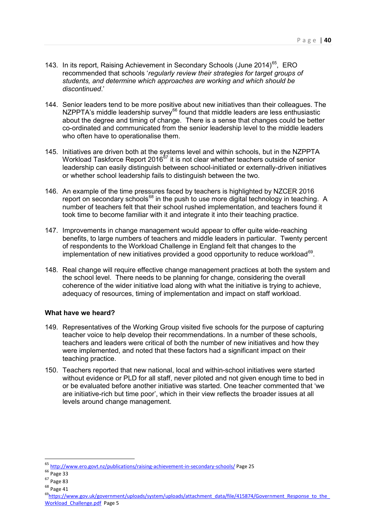- 143. In its report, Raising Achievement in Secondary Schools (June 2014)<sup>[65](#page-39-0)</sup>, ERO recommended that schools '*regularly review their strategies for target groups of students, and determine which approaches are working and which should be discontinued*.'
- 144. Senior leaders tend to be more positive about new initiatives than their colleagues. The NZPPTA's middle leadership survey<sup>[66](#page-39-1)</sup> found that middle leaders are less enthusiastic about the degree and timing of change. There is a sense that changes could be better co-ordinated and communicated from the senior leadership level to the middle leaders who often have to operationalise them.
- 145. Initiatives are driven both at the systems level and within schools, but in the NZPPTA Workload Taskforce Report 2016 $^{67}$  $^{67}$  $^{67}$  it is not clear whether teachers outside of senior leadership can easily distinguish between school-initiated or externally-driven initiatives or whether school leadership fails to distinguish between the two.
- 146. An example of the time pressures faced by teachers is highlighted by NZCER 2016 report on secondary schools<sup>[68](#page-39-3)</sup> in the push to use more digital technology in teaching. A number of teachers felt that their school rushed implementation, and teachers found it took time to become familiar with it and integrate it into their teaching practice.
- 147. Improvements in change management would appear to offer quite wide-reaching benefits, to large numbers of teachers and middle leaders in particular. Twenty percent of respondents to the Workload Challenge in England felt that changes to the implementation of new initiatives provided a good opportunity to reduce workload $^{69}$  $^{69}$  $^{69}$ .
- 148. Real change will require effective change management practices at both the system and the school level. There needs to be planning for change, considering the overall coherence of the wider initiative load along with what the initiative is trying to achieve, adequacy of resources, timing of implementation and impact on staff workload.

# **What have we heard?**

- 149. Representatives of the Working Group visited five schools for the purpose of capturing teacher voice to help develop their recommendations. In a number of these schools, teachers and leaders were critical of both the number of new initiatives and how they were implemented, and noted that these factors had a significant impact on their teaching practice.
- 150. Teachers reported that new national, local and within-school initiatives were started without evidence or PLD for all staff, never piloted and not given enough time to bed in or be evaluated before another initiative was started. One teacher commented that 'we are initiative-rich but time poor', which in their view reflects the broader issues at all levels around change management.

 $\overline{a}$ 

<sup>65</sup> <http://www.ero.govt.nz/publications/raising-achievement-in-secondary-schools/> Page 25

<span id="page-39-1"></span><span id="page-39-0"></span><sup>66</sup> Page 33

<span id="page-39-2"></span> $67$  Page 83<br> $68$  Page 41

<span id="page-39-4"></span><span id="page-39-3"></span><sup>69</sup>https://www.gov.uk/government/uploads/system/uploads/attachment\_data/file/415874/Government\_Response\_to\_the Workload Challenge.pdf Page 5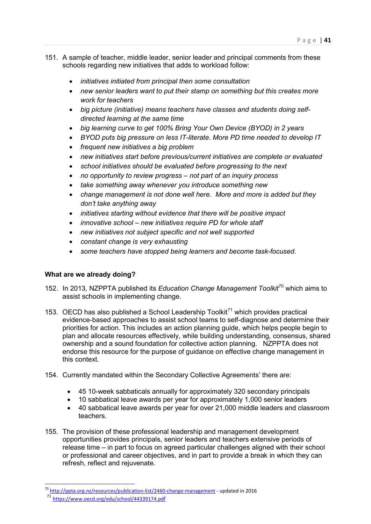- 151. A sample of teacher, middle leader, senior leader and principal comments from these schools regarding new initiatives that adds to workload follow:
	- *initiatives initiated from principal then some consultation*
	- *new senior leaders want to put their stamp on something but this creates more work for teachers*
	- *big picture (initiative) means teachers have classes and students doing selfdirected learning at the same time*
	- *big learning curve to get 100% Bring Your Own Device (BYOD) in 2 years*
	- *BYOD puts big pressure on less IT-literate. More PD time needed to develop IT*
	- *frequent new initiatives a big problem*
	- *new initiatives start before previous/current initiatives are complete or evaluated*
	- *school initiatives should be evaluated before progressing to the next*
	- *no opportunity to review progress not part of an inquiry process*
	- *take something away whenever you introduce something new*
	- *change management is not done well here. More and more is added but they don't take anything away*
	- *initiatives starting without evidence that there will be positive impact*
	- *innovative school new initiatives require PD for whole staff*
	- *new initiatives not subject specific and not well supported*
	- *constant change is very exhausting*
	- *some teachers have stopped being learners and become task-focused.*

# **What are we already doing?**

- 152. In 2013, NZPPTA published its *Education Change Management Toolkit*[70](#page-40-0) which aims to assist schools in implementing change.
- 153. OECD has also published a School Leadership Toolkit<sup>[71](#page-40-1)</sup> which provides practical evidence-based approaches to assist school teams to self-diagnose and determine their priorities for action. This includes an action planning guide, which helps people begin to plan and allocate resources effectively, while building understanding, consensus, shared ownership and a sound foundation for collective action planning. NZPPTA does not endorse this resource for the purpose of guidance on effective change management in this context.
- 154. Currently mandated within the Secondary Collective Agreements' there are:
	- 45 10-week sabbaticals annually for approximately 320 secondary principals
	- 10 sabbatical leave awards per year for approximately 1,000 senior leaders
	- 40 sabbatical leave awards per year for over 21,000 middle leaders and classroom teachers.
- 155. The provision of these professional leadership and management development opportunities provides principals, senior leaders and teachers extensive periods of release time – in part to focus on agreed particular challenges aligned with their school or professional and career objectives, and in part to provide a break in which they can refresh, reflect and rejuvenate.

<span id="page-40-1"></span><span id="page-40-0"></span><sup>&</sup>lt;sup>70</sup> [http://ppta.org.nz/resources/publication-list/2460-change-management -](http://ppta.org.nz/resources/publication-list/2460-change-management) updated in 2016

<sup>71</sup> <https://www.oecd.org/edu/school/44339174.pdf>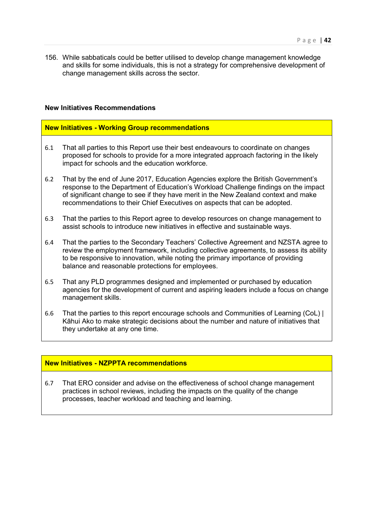156. While sabbaticals could be better utilised to develop change management knowledge and skills for some individuals, this is not a strategy for comprehensive development of change management skills across the sector.

### **New Initiatives Recommendations**

#### **New Initiatives - Working Group recommendations**

- 6.1 That all parties to this Report use their best endeavours to coordinate on changes proposed for schools to provide for a more integrated approach factoring in the likely impact for schools and the education workforce.
- 6.2 That by the end of June 2017, Education Agencies explore the British Government's response to the Department of Education's Workload Challenge findings on the impact of significant change to see if they have merit in the New Zealand context and make recommendations to their Chief Executives on aspects that can be adopted.
- 6.3 That the parties to this Report agree to develop resources on change management to assist schools to introduce new initiatives in effective and sustainable ways.
- 6.4 That the parties to the Secondary Teachers' Collective Agreement and NZSTA agree to review the employment framework, including collective agreements, to assess its ability to be responsive to innovation, while noting the primary importance of providing balance and reasonable protections for employees.
- 6.5 That any PLD programmes designed and implemented or purchased by education agencies for the development of current and aspiring leaders include a focus on change management skills.
- 6.6 That the parties to this report encourage schools and Communities of Learning (CoL) | Kāhui Ako to make strategic decisions about the number and nature of initiatives that they undertake at any one time.

#### **New Initiatives - NZPPTA recommendations**

6.7 That ERO consider and advise on the effectiveness of school change management practices in school reviews, including the impacts on the quality of the change processes, teacher workload and teaching and learning.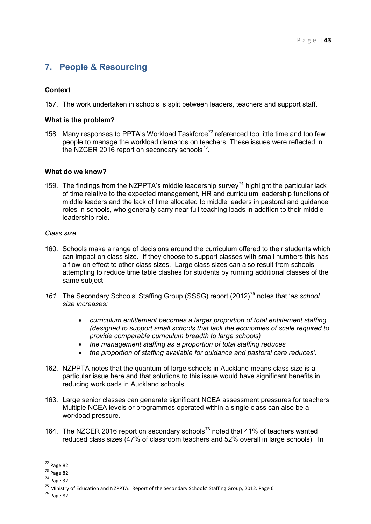# <span id="page-42-0"></span>**7. People & Resourcing**

# **Context**

157. The work undertaken in schools is split between leaders, teachers and support staff.

### **What is the problem?**

158. Many responses to PPTA's Workload Taskforce<sup>[72](#page-42-1)</sup> referenced too little time and too few people to manage the workload demands on teachers. These issues were reflected in the NZCER 2016 report on secondary schools $^{73}$  $^{73}$  $^{73}$ .

# **What do we know?**

159. The findings from the NZPPTA's middle leadership survey<sup>[74](#page-42-3)</sup> highlight the particular lack of time relative to the expected management, HR and curriculum leadership functions of middle leaders and the lack of time allocated to middle leaders in pastoral and guidance roles in schools, who generally carry near full teaching loads in addition to their middle leadership role.

#### *Class size*

- 160. Schools make a range of decisions around the curriculum offered to their students which can impact on class size. If they choose to support classes with small numbers this has a flow-on effect to other class sizes. Large class sizes can also result from schools attempting to reduce time table clashes for students by running additional classes of the same subject.
- 161. The Secondary Schools' Staffing Group (SSSG) report (2012)<sup>[75](#page-42-4)</sup> notes that 'as school *size increases:*
	- *curriculum entitlement becomes a larger proportion of total entitlement staffing, (designed to support small schools that lack the economies of scale required to provide comparable curriculum breadth to large schools)*
	- *the management staffing as a proportion of total staffing reduces*
	- *the proportion of staffing available for guidance and pastoral care reduces'*.
- 162. NZPPTA notes that the quantum of large schools in Auckland means class size is a particular issue here and that solutions to this issue would have significant benefits in reducing workloads in Auckland schools.
- 163. Large senior classes can generate significant NCEA assessment pressures for teachers. Multiple NCEA levels or programmes operated within a single class can also be a workload pressure.
- 164. The NZCER 2016 report on secondary schools<sup>[76](#page-42-5)</sup> noted that 41% of teachers wanted reduced class sizes (47% of classroom teachers and 52% overall in large schools). In

<u>.</u>

<sup>72</sup> Page 82

<span id="page-42-2"></span><span id="page-42-1"></span><sup>73</sup> Page 82

<span id="page-42-3"></span><sup>74</sup> Page 32

<span id="page-42-5"></span><span id="page-42-4"></span><sup>&</sup>lt;sup>75</sup> Ministry of Education and NZPPTA. Report of the Secondary Schools' Staffing Group, 2012. Page 6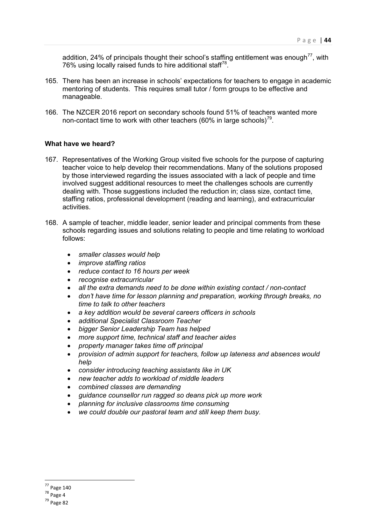addition, 24% of principals thought their school's staffing entitlement was enough<sup>77</sup>, with 76% using locally raised funds to hire additional staff<sup>[78](#page-43-1)</sup>.

- 165. There has been an increase in schools' expectations for teachers to engage in academic mentoring of students. This requires small tutor / form groups to be effective and manageable.
- 166. The NZCER 2016 report on secondary schools found 51% of teachers wanted more non-contact time to work with other teachers (60% in large schools)<sup>[79](#page-43-2)</sup>.

#### **What have we heard?**

- 167. Representatives of the Working Group visited five schools for the purpose of capturing teacher voice to help develop their recommendations. Many of the solutions proposed by those interviewed regarding the issues associated with a lack of people and time involved suggest additional resources to meet the challenges schools are currently dealing with. Those suggestions included the reduction in; class size, contact time, staffing ratios, professional development (reading and learning), and extracurricular activities.
- 168. A sample of teacher, middle leader, senior leader and principal comments from these schools regarding issues and solutions relating to people and time relating to workload follows:
	- *smaller classes would help*
	- *improve staffing ratios*
	- *reduce contact to 16 hours per week*
	- *recognise extracurricular*
	- *all the extra demands need to be done within existing contact / non-contact*
	- *don't have time for lesson planning and preparation, working through breaks, no time to talk to other teachers*
	- *a key addition would be several careers officers in schools*
	- *additional Specialist Classroom Teacher*
	- *bigger Senior Leadership Team has helped*
	- *more support time, technical staff and teacher aides*
	- *property manager takes time off principal*
	- *provision of admin support for teachers, follow up lateness and absences would help*
	- *consider introducing teaching assistants like in UK*
	- *new teacher adds to workload of middle leaders*
	- *combined classes are demanding*
	- *guidance counsellor run ragged so deans pick up more work*
	- *planning for inclusive classrooms time consuming*
	- *we could double our pastoral team and still keep them busy.*

 $\overline{a}$ 

<sup>77</sup> Page 140

<span id="page-43-1"></span><span id="page-43-0"></span><sup>78</sup> Page 4

<span id="page-43-2"></span><sup>79</sup> Page 82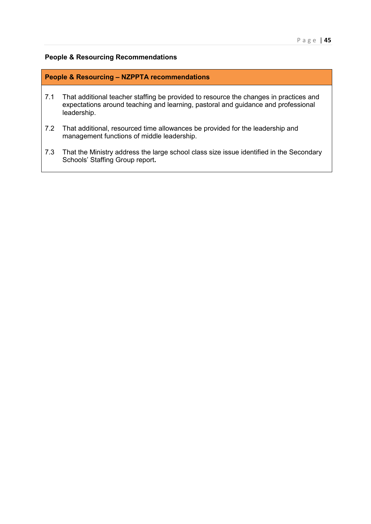#### **People & Resourcing Recommendations**

#### **People & Resourcing – NZPPTA recommendations**

- 7.1 That additional teacher staffing be provided to resource the changes in practices and expectations around teaching and learning, pastoral and guidance and professional leadership.
- 7.2 That additional, resourced time allowances be provided for the leadership and management functions of middle leadership.
- 7.3 That the Ministry address the large school class size issue identified in the Secondary Schools' Staffing Group report**.**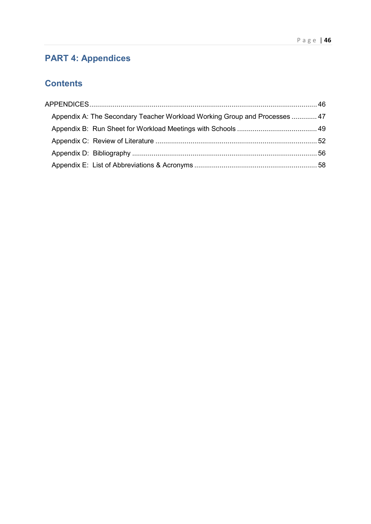# <span id="page-45-0"></span>**PART 4: Appendices**

# **Contents**

| Appendix A: The Secondary Teacher Workload Working Group and Processes  47 |  |
|----------------------------------------------------------------------------|--|
|                                                                            |  |
|                                                                            |  |
|                                                                            |  |
|                                                                            |  |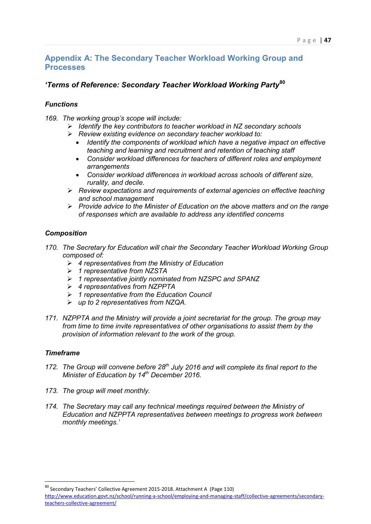# <span id="page-46-0"></span>**Appendix A: The Secondary Teacher Workload Working Group and Processes**

# *'Terms of Reference: Secondary Teacher Workload Working Party***[80](#page-46-1)**

# *Functions*

- *169. The working group's scope will include:* 
	- *Identify the key contributors to teacher workload in NZ secondary schools*
	- *Review existing evidence on secondary teacher workload to:* 
		- *Identify the components of workload which have a negative impact on effective teaching and learning and recruitment and retention of teaching staff*
		- *Consider workload differences for teachers of different roles and employment arrangements*
		- *Consider workload differences in workload across schools of different size, rurality, and decile.*
	- *Review expectations and requirements of external agencies on effective teaching and school management*
	- *Provide advice to the Minister of Education on the above matters and on the range of responses which are available to address any identified concerns*

# *Composition*

- *170. The Secretary for Education will chair the Secondary Teacher Workload Working Group composed of:*
	- *4 representatives from the Ministry of Education*
	- *1 representative from NZSTA*
	- *1 representative jointly nominated from NZSPC and SPANZ*
	- *4 representatives from NZPPTA*
	- *1 representative from the Education Council*
	- *up to 2 representatives from NZQA.*
- *171. NZPPTA and the Ministry will provide a joint secretariat for the group. The group may from time to time invite representatives of other organisations to assist them by the provision of information relevant to the work of the group.*

# *Timeframe*

- *172. The Group will convene before 28th July 2016 and will complete its final report to the Minister of Education by 14th December 2016.*
- *173. The group will meet monthly.*
- *174. The Secretary may call any technical meetings required between the Ministry of Education and NZPPTA representatives between meetings to progress work between monthly meetings.'*

<span id="page-46-1"></span><sup>80</sup> Secondary Teachers' Collective Agreement 2015-2018. Attachment A (Page 110) [http://www.education.govt.nz/school/running-a-school/employing-and-managing-staff/collective-agreements/secondary](http://www.education.govt.nz/school/running-a-school/employing-and-managing-staff/collective-agreements/secondary-teachers-collective-agreement/)[teachers-collective-agreement/](http://www.education.govt.nz/school/running-a-school/employing-and-managing-staff/collective-agreements/secondary-teachers-collective-agreement/)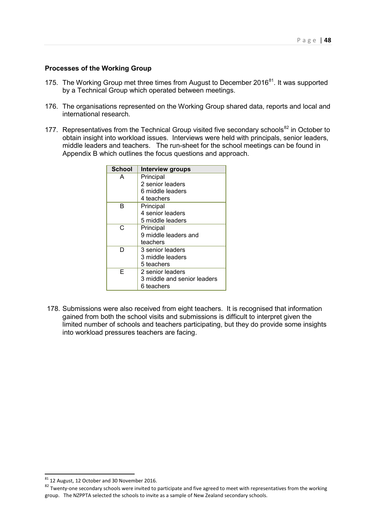#### **Processes of the Working Group**

- 175. The Working Group met three times from August to December 2016 $^{81}$  $^{81}$  $^{81}$ . It was supported by a Technical Group which operated between meetings.
- 176. The organisations represented on the Working Group shared data, reports and local and international research.
- 177. Representatives from the Technical Group visited five secondary schools<sup>[82](#page-47-1)</sup> in October to obtain insight into workload issues. Interviews were held with principals, senior leaders, middle leaders and teachers. The run-sheet for the school meetings can be found in Appendix B which outlines the focus questions and approach.

| <b>School</b> | <b>Interview groups</b>     |
|---------------|-----------------------------|
| А             | Principal                   |
|               | 2 senior leaders            |
|               | 6 middle leaders            |
|               | 4 teachers                  |
| в             | Principal                   |
|               | 4 senior leaders            |
|               | 5 middle leaders            |
| C.            | Principal                   |
|               | 9 middle leaders and        |
|               | teachers                    |
| D             | 3 senior leaders            |
|               | 3 middle leaders            |
|               | 5 teachers                  |
| F             | 2 senior leaders            |
|               | 3 middle and senior leaders |
|               | 6 teachers                  |

178. Submissions were also received from eight teachers. It is recognised that information gained from both the school visits and submissions is difficult to interpret given the limited number of schools and teachers participating, but they do provide some insights into workload pressures teachers are facing.

 $81$  12 August, 12 October and 30 November 2016.

<span id="page-47-1"></span><span id="page-47-0"></span> $\frac{127 \times 127}{82}$  Twenty-one secondary schools were invited to participate and five agreed to meet with representatives from the working group. The NZPPTA selected the schools to invite as a sample of New Zealand secondary schools.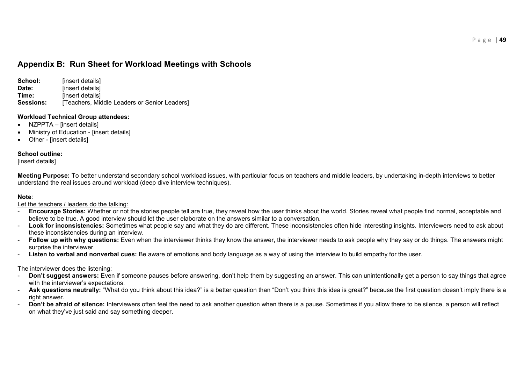# **Appendix B: Run Sheet for Workload Meetings with Schools**

**School: linsert details Date: linsert details Time:** [insert details]<br>**Sessions:** [Teachers Mic **Teachers, Middle Leaders or Senior Leaders1** 

#### **Workload Technical Group attendees:**

- NZPPTA linsert details]
- Ministry of Education [insert details]
- Other [insert details]

#### **School outline:**

[insert details]

**Meeting Purpose:** To better understand secondary school workload issues, with particular focus on teachers and middle leaders, by undertaking in-depth interviews to better understand the real issues around workload (deep dive interview techniques).

#### **Note**:

Let the teachers / leaders do the talking:

- **Encourage Stories:** Whether or not the stories people tell are true, they reveal how the user thinks about the world. Stories reveal what people find normal, acceptable and believe to be true. A good interview should let the user elaborate on the answers similar to a conversation.
- **Look for inconsistencies:** Sometimes what people say and what they do are different. These inconsistencies often hide interesting insights. Interviewers need to ask about these inconsistencies during an interview.
- **Follow up with why questions:** Even when the interviewer thinks they know the answer, the interviewer needs to ask people why they say or do things. The answers might surprise the interviewer.
- **Listen to verbal and nonverbal cues:** Be aware of emotions and body language as a way of using the interview to build empathy for the user.

#### The interviewer does the listening:

- **Don't suggest answers:** Even if someone pauses before answering, don't help them by suggesting an answer. This can unintentionally get a person to say things that agree with the interviewer's expectations.
- **Ask questions neutrally:** "What do you think about this idea?" is a better question than "Don't you think this idea is great?" because the first question doesn't imply there is a right answer.
- **Don't be afraid of silence:** Interviewers often feel the need to ask another question when there is a pause. Sometimes if you allow there to be silence, a person will reflect on what they've just said and say something deeper.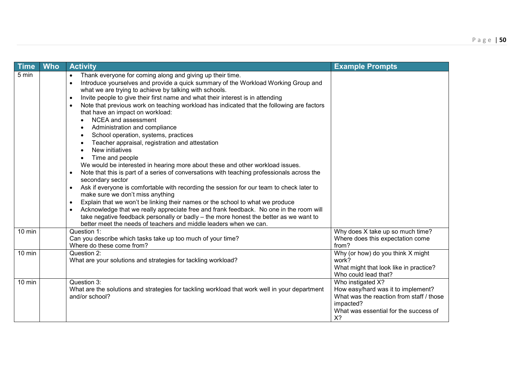| <b>Time</b> | <b>Who</b> | <b>Activity</b>                                                                                                                                                                                                                                                                                                                                                                                                                                                                                                                                                                                                                                                                                                                                                                                                                                                                                                                                                                                                                                                                                                                                                                                                                                                                         | <b>Example Prompts</b>                                                                                                                                          |
|-------------|------------|-----------------------------------------------------------------------------------------------------------------------------------------------------------------------------------------------------------------------------------------------------------------------------------------------------------------------------------------------------------------------------------------------------------------------------------------------------------------------------------------------------------------------------------------------------------------------------------------------------------------------------------------------------------------------------------------------------------------------------------------------------------------------------------------------------------------------------------------------------------------------------------------------------------------------------------------------------------------------------------------------------------------------------------------------------------------------------------------------------------------------------------------------------------------------------------------------------------------------------------------------------------------------------------------|-----------------------------------------------------------------------------------------------------------------------------------------------------------------|
| 5 min       |            | Thank everyone for coming along and giving up their time.<br>$\bullet$<br>Introduce yourselves and provide a quick summary of the Workload Working Group and<br>what we are trying to achieve by talking with schools.<br>Invite people to give their first name and what their interest is in attending<br>$\bullet$<br>Note that previous work on teaching workload has indicated that the following are factors<br>that have an impact on workload:<br><b>NCEA and assessment</b><br>Administration and compliance<br>School operation, systems, practices<br>Teacher appraisal, registration and attestation<br>New initiatives<br>Time and people<br>$\bullet$<br>We would be interested in hearing more about these and other workload issues.<br>Note that this is part of a series of conversations with teaching professionals across the<br>secondary sector<br>Ask if everyone is comfortable with recording the session for our team to check later to<br>make sure we don't miss anything<br>Explain that we won't be linking their names or the school to what we produce<br>$\bullet$<br>Acknowledge that we really appreciate free and frank feedback. No one in the room will<br>take negative feedback personally or badly - the more honest the better as we want to |                                                                                                                                                                 |
| $10$ min    |            | better meet the needs of teachers and middle leaders when we can.<br>Question 1:<br>Can you describe which tasks take up too much of your time?<br>Where do these come from?                                                                                                                                                                                                                                                                                                                                                                                                                                                                                                                                                                                                                                                                                                                                                                                                                                                                                                                                                                                                                                                                                                            | Why does X take up so much time?<br>Where does this expectation come<br>from?                                                                                   |
| 10 min      |            | Question 2:<br>What are your solutions and strategies for tackling workload?                                                                                                                                                                                                                                                                                                                                                                                                                                                                                                                                                                                                                                                                                                                                                                                                                                                                                                                                                                                                                                                                                                                                                                                                            | Why (or how) do you think X might<br>work?<br>What might that look like in practice?<br>Who could lead that?                                                    |
| $10$ min    |            | Question 3:<br>What are the solutions and strategies for tackling workload that work well in your department<br>and/or school?                                                                                                                                                                                                                                                                                                                                                                                                                                                                                                                                                                                                                                                                                                                                                                                                                                                                                                                                                                                                                                                                                                                                                          | Who instigated X?<br>How easy/hard was it to implement?<br>What was the reaction from staff / those<br>impacted?<br>What was essential for the success of<br>X? |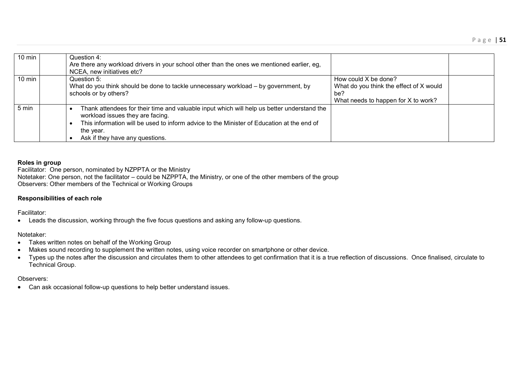| $10 \text{ min}$ | Question 4:<br>Are there any workload drivers in your school other than the ones we mentioned earlier, eg,<br>NCEA, new initiatives etc?                                                                                                                                    |                                                                                                               |  |
|------------------|-----------------------------------------------------------------------------------------------------------------------------------------------------------------------------------------------------------------------------------------------------------------------------|---------------------------------------------------------------------------------------------------------------|--|
| $10 \text{ min}$ | Question 5:<br>What do you think should be done to tackle unnecessary workload - by government, by<br>schools or by others?                                                                                                                                                 | How could X be done?<br>What do you think the effect of X would<br>be?<br>What needs to happen for X to work? |  |
| 5 min            | Thank attendees for their time and valuable input which will help us better understand the<br>workload issues they are facing.<br>This information will be used to inform advice to the Minister of Education at the end of<br>the year.<br>Ask if they have any questions. |                                                                                                               |  |

#### **Roles in group**

Facilitator: One person, nominated by NZPPTA or the Ministry Notetaker: One person, not the facilitator – could be NZPPTA, the Ministry, or one of the other members of the group Observers: Other members of the Technical or Working Groups

#### **Responsibilities of each role**

Facilitator:

• Leads the discussion, working through the five focus questions and asking any follow-up questions.

#### Notetaker:

- Takes written notes on behalf of the Working Group
- Makes sound recording to supplement the written notes, using voice recorder on smartphone or other device.
- Types up the notes after the discussion and circulates them to other attendees to get confirmation that it is a true reflection of discussions. Once finalised, circulate to Technical Group.

#### Observers:

• Can ask occasional follow-up questions to help better understand issues.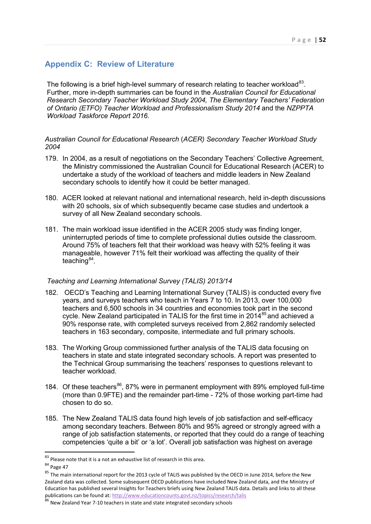# <span id="page-51-0"></span>**Appendix C: Review of Literature**

The following is a brief high-level summary of research relating to teacher workload $^{83}$ . Further, more in-depth summaries can be found in the *Australian Council for Educational Research Secondary Teacher Workload Study 2004, The Elementary Teachers' Federation of Ontario (ETFO) Teacher Workload and Professionalism Study 2014* and the *NZPPTA Workload Taskforce Report 2016.* 

#### *Australian Council for Educational Research* (*ACER) Secondary Teacher Workload Study 2004*

- 179. In 2004, as a result of negotiations on the Secondary Teachers' Collective Agreement, the Ministry commissioned the Australian Council for Educational Research (ACER) to undertake a study of the workload of teachers and middle leaders in New Zealand secondary schools to identify how it could be better managed.
- 180. ACER looked at relevant national and international research, held in-depth discussions with 20 schools, six of which subsequently became case studies and undertook a survey of all New Zealand secondary schools.
- 181. The main workload issue identified in the ACER 2005 study was finding longer, uninterrupted periods of time to complete professional duties outside the classroom. Around 75% of teachers felt that their workload was heavy with 52% feeling it was manageable, however 71% felt their workload was affecting the quality of their teaching $84$ .

#### *Teaching and Learning International Survey (TALIS) 2013/14*

- 182. OECD's Teaching and Learning International Survey (TALIS) is conducted every five years, and surveys teachers who teach in Years 7 to 10. In 2013, over 100,000 teachers and 6,500 schools in 34 countries and economies took part in the second cycle. New Zealand participated in TALIS for the first time in  $2014^{85}$  $2014^{85}$  $2014^{85}$  and achieved a 90% response rate, with completed surveys received from 2,862 randomly selected teachers in 163 secondary, composite, intermediate and full primary schools.
- 183. The Working Group commissioned further analysis of the TALIS data focusing on teachers in state and state integrated secondary schools. A report was presented to the Technical Group summarising the teachers' responses to questions relevant to teacher workload.
- 184. Of these teachers<sup>[86](#page-51-4)</sup>, 87% were in permanent employment with 89% employed full-time (more than 0.9FTE) and the remainder part-time - 72% of those working part-time had chosen to do so.
- 185. The New Zealand TALIS data found high levels of job satisfaction and self-efficacy among secondary teachers. Between 80% and 95% agreed or strongly agreed with a range of job satisfaction statements, or reported that they could do a range of teaching competencies 'quite a bit' or 'a lot'. Overall job satisfaction was highest on average

 $83$  Please note that it is a not an exhaustive list of research in this area.<br> $84$  Page 47

<span id="page-51-3"></span><span id="page-51-2"></span><span id="page-51-1"></span><sup>84&</sup>lt;br>85 Page 47<br>85 The main international report for the 2013 cycle of TALIS was published by the OECD in June 2014, before the New Zealand data was collected. Some subsequent OECD publications have included New Zealand data, and the Ministry of Education has published several Insights for Teachers briefs using New Zealand TALIS data. Details and links to all these publications can be found at:<http://www.educationcounts.govt.nz/topics/research/talis> 86 New Zealand Year 7-10 teachers in state and state integrated secondary schools

<span id="page-51-4"></span>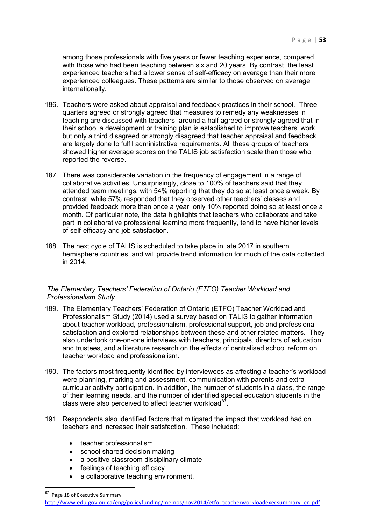among those professionals with five years or fewer teaching experience, compared with those who had been teaching between six and 20 years. By contrast, the least experienced teachers had a lower sense of self-efficacy on average than their more experienced colleagues. These patterns are similar to those observed on average internationally.

- 186. Teachers were asked about appraisal and feedback practices in their school. Threequarters agreed or strongly agreed that measures to remedy any weaknesses in teaching are discussed with teachers, around a half agreed or strongly agreed that in their school a development or training plan is established to improve teachers' work, but only a third disagreed or strongly disagreed that teacher appraisal and feedback are largely done to fulfil administrative requirements. All these groups of teachers showed higher average scores on the TALIS job satisfaction scale than those who reported the reverse.
- 187. There was considerable variation in the frequency of engagement in a range of collaborative activities. Unsurprisingly, close to 100% of teachers said that they attended team meetings, with 54% reporting that they do so at least once a week. By contrast, while 57% responded that they observed other teachers' classes and provided feedback more than once a year, only 10% reported doing so at least once a month. Of particular note, the data highlights that teachers who collaborate and take part in collaborative professional learning more frequently, tend to have higher levels of self-efficacy and job satisfaction.
- 188. The next cycle of TALIS is scheduled to take place in late 2017 in southern hemisphere countries, and will provide trend information for much of the data collected in 2014.

# *The Elementary Teachers' Federation of Ontario (ETFO) Teacher Workload and Professionalism Study*

- 189. The Elementary Teachers' Federation of Ontario (ETFO) Teacher Workload and Professionalism Study (2014) used a survey based on TALIS to gather information about teacher workload, professionalism, professional support, job and professional satisfaction and explored relationships between these and other related matters. They also undertook one-on-one interviews with teachers, principals, directors of education, and trustees, and a literature research on the effects of centralised school reform on teacher workload and professionalism.
- 190. The factors most frequently identified by interviewees as affecting a teacher's workload were planning, marking and assessment, communication with parents and extracurricular activity participation. In addition, the number of students in a class, the range of their learning needs, and the number of identified special education students in the class were also perceived to affect teacher workload $^{87}$  $^{87}$  $^{87}$ .
- 191. Respondents also identified factors that mitigated the impact that workload had on teachers and increased their satisfaction. These included:
	- teacher professionalism
	- school shared decision making
	- a positive classroom disciplinary climate
	- feelings of teaching efficacy
	- a collaborative teaching environment.

<span id="page-52-0"></span>Page 18 of Executive Summary

[http://www.edu.gov.on.ca/eng/policyfunding/memos/nov2014/etfo\\_teacherworkloadexecsummary\\_en.pdf](http://www.edu.gov.on.ca/eng/policyfunding/memos/nov2014/etfo_teacherworkloadexecsummary_en.pdf)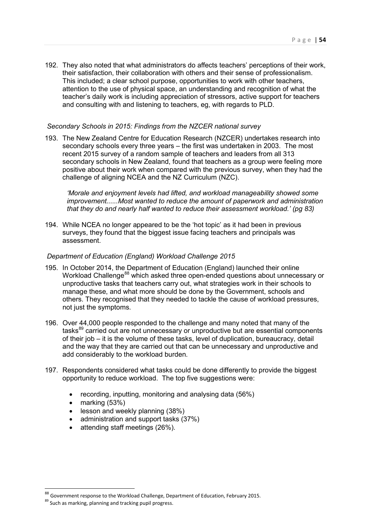192. They also noted that what administrators do affects teachers' perceptions of their work, their satisfaction, their collaboration with others and their sense of professionalism. This included; a clear school purpose, opportunities to work with other teachers, attention to the use of physical space, an understanding and recognition of what the teacher's daily work is including appreciation of stressors, active support for teachers and consulting with and listening to teachers, eg, with regards to PLD.

### *Secondary Schools in 2015: Findings from the NZCER national survey*

193. The New Zealand Centre for Education Research (NZCER) undertakes research into secondary schools every three years – the first was undertaken in 2003. The most recent 2015 survey of a random sample of teachers and leaders from all 313 secondary schools in New Zealand, found that teachers as a group were feeling more positive about their work when compared with the previous survey, when they had the challenge of aligning NCEA and the NZ Curriculum (NZC).

*'Morale and enjoyment levels had lifted, and workload manageability showed some improvement......Most wanted to reduce the amount of paperwork and administration that they do and nearly half wanted to reduce their assessment workload.' (pg 83)* 

194. While NCEA no longer appeared to be the 'hot topic' as it had been in previous surveys, they found that the biggest issue facing teachers and principals was assessment.

#### *Department of Education (England) Workload Challenge 2015*

- 195. In October 2014, the Department of Education (England) launched their online Workload Challenge<sup>[88](#page-53-0)</sup> which asked three open-ended questions about unnecessary or unproductive tasks that teachers carry out, what strategies work in their schools to manage these, and what more should be done by the Government, schools and others. They recognised that they needed to tackle the cause of workload pressures, not just the symptoms.
- 196. Over 44,000 people responded to the challenge and many noted that many of the tasks<sup>[89](#page-53-1)</sup> carried out are not unnecessary or unproductive but are essential components of their job – it is the volume of these tasks, level of duplication, bureaucracy, detail and the way that they are carried out that can be unnecessary and unproductive and add considerably to the workload burden.
- 197. Respondents considered what tasks could be done differently to provide the biggest opportunity to reduce workload. The top five suggestions were:
	- recording, inputting, monitoring and analysing data (56%)
	- marking (53%)
	- lesson and weekly planning (38%)
	- administration and support tasks (37%)
	- attending staff meetings (26%).

<u>.</u>

<span id="page-53-0"></span><sup>88&</sup>lt;br>Government response to the Workload Challenge, Department of Education, February 2015.

<span id="page-53-1"></span> $89$  Such as marking, planning and tracking pupil progress.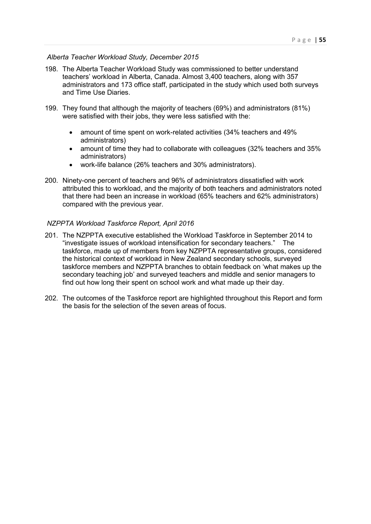#### *Alberta Teacher Workload Study, December 2015*

- 198. The Alberta Teacher Workload Study was commissioned to better understand teachers' workload in Alberta, Canada. Almost 3,400 teachers, along with 357 administrators and 173 office staff, participated in the study which used both surveys and Time Use Diaries.
- 199. They found that although the majority of teachers (69%) and administrators (81%) were satisfied with their jobs, they were less satisfied with the:
	- amount of time spent on work-related activities (34% teachers and 49% administrators)
	- amount of time they had to collaborate with colleagues (32% teachers and 35% administrators)
	- work-life balance (26% teachers and 30% administrators).
- 200. Ninety-one percent of teachers and 96% of administrators dissatisfied with work attributed this to workload, and the majority of both teachers and administrators noted that there had been an increase in workload (65% teachers and 62% administrators) compared with the previous year.

#### *NZPPTA Workload Taskforce Report, April 2016*

- 201. The NZPPTA executive established the Workload Taskforce in September 2014 to "investigate issues of workload intensification for secondary teachers." The taskforce, made up of members from key NZPPTA representative groups, considered the historical context of workload in New Zealand secondary schools, surveyed taskforce members and NZPPTA branches to obtain feedback on 'what makes up the secondary teaching job' and surveyed teachers and middle and senior managers to find out how long their spent on school work and what made up their day.
- 202. The outcomes of the Taskforce report are highlighted throughout this Report and form the basis for the selection of the seven areas of focus.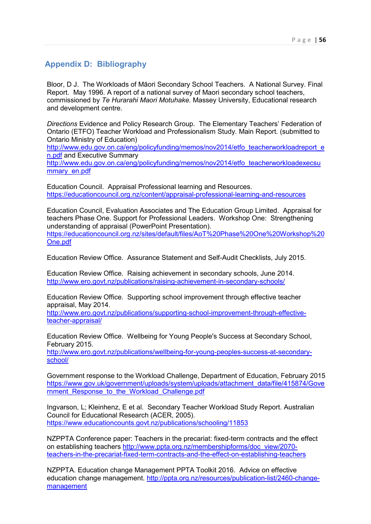# <span id="page-55-0"></span>**Appendix D: Bibliography**

Bloor, D J. The Workloads of Māori Secondary School Teachers. A National Survey. Final Report. May 1996. A report of a national survey of Maori secondary school teachers, commissioned by *Te Hurarahi Maori Motuhake.* Massey University, Educational research and development centre.

*Directions* Evidence and Policy Research Group. The Elementary Teachers' Federation of Ontario (ETFO) Teacher Workload and Professionalism Study. Main Report. (submitted to Ontario Ministry of Education)

[http://www.edu.gov.on.ca/eng/policyfunding/memos/nov2014/etfo\\_teacherworkloadreport\\_e](http://www.edu.gov.on.ca/eng/policyfunding/memos/nov2014/etfo_teacherworkloadreport_en.pdf) [n.pdf](http://www.edu.gov.on.ca/eng/policyfunding/memos/nov2014/etfo_teacherworkloadreport_en.pdf) and Executive Summary

[http://www.edu.gov.on.ca/eng/policyfunding/memos/nov2014/etfo\\_teacherworkloadexecsu](http://www.edu.gov.on.ca/eng/policyfunding/memos/nov2014/etfo_teacherworkloadexecsummary_en.pdf) mmary\_en.pdf

Education Council. Appraisal Professional learning and Resources. <https://educationcouncil.org.nz/content/appraisal-professional-learning-and-resources>

Education Council, Evaluation Associates and The Education Group Limited. Appraisal for teachers Phase One. Support for Professional Leaders. Workshop One: Strengthening understanding of appraisal (PowerPoint Presentation). [https://educationcouncil.org.nz/sites/default/files/AoT%20Phase%20One%20Workshop%20](https://educationcouncil.org.nz/sites/default/files/AoT%20Phase%20One%20Workshop%20One.pdf) [One.pdf](https://educationcouncil.org.nz/sites/default/files/AoT%20Phase%20One%20Workshop%20One.pdf)

Education Review Office. Assurance Statement and Self-Audit Checklists, July 2015.

Education Review Office. Raising achievement in secondary schools, June 2014. <http://www.ero.govt.nz/publications/raising-achievement-in-secondary-schools/>

Education Review Office. Supporting school improvement through effective teacher appraisal, May 2014.

[http://www.ero.govt.nz/publications/supporting-school-improvement-through-effective](http://www.ero.govt.nz/publications/supporting-school-improvement-through-effective-teacher-appraisal/)[teacher-appraisal/](http://www.ero.govt.nz/publications/supporting-school-improvement-through-effective-teacher-appraisal/)

Education Review Office. Wellbeing for Young People's Success at Secondary School, February 2015.

[http://www.ero.govt.nz/publications/wellbeing-for-young-peoples-success-at-secondary](http://www.ero.govt.nz/publications/wellbeing-for-young-peoples-success-at-secondary-school/)[school/](http://www.ero.govt.nz/publications/wellbeing-for-young-peoples-success-at-secondary-school/)

Government response to the Workload Challenge, Department of Education, February 2015 [https://www.gov.uk/government/uploads/system/uploads/attachment\\_data/file/415874/Gove](https://www.gov.uk/government/uploads/system/uploads/attachment_data/file/415874/Government_Response_to_the_Workload_Challenge.pdf) rnment Response to the Workload Challenge.pdf

Ingvarson, L; Kleinhenz, E et al. Secondary Teacher Workload Study Report. Australian Council for Educational Research (ACER, 2005). <https://www.educationcounts.govt.nz/publications/schooling/11853>

NZPPTA Conference paper: Teachers in the precariat: fixed-term contracts and the effect on establishing teachers [http://www.ppta.org.nz/membershipforms/doc\\_view/2070](http://www.ppta.org.nz/membershipforms/doc_view/2070-teachers-in-the-precariat-fixed-term-contracts-and-the-effect-on-establishing-teachers) [teachers-in-the-precariat-fixed-term-contracts-and-the-effect-on-establishing-teachers](http://www.ppta.org.nz/membershipforms/doc_view/2070-teachers-in-the-precariat-fixed-term-contracts-and-the-effect-on-establishing-teachers)

NZPPTA. Education change Management PPTA Toolkit 2016. Advice on effective education change management. [http://ppta.org.nz/resources/publication-list/2460-change](http://ppta.org.nz/resources/publication-list/2460-change-management)[management](http://ppta.org.nz/resources/publication-list/2460-change-management)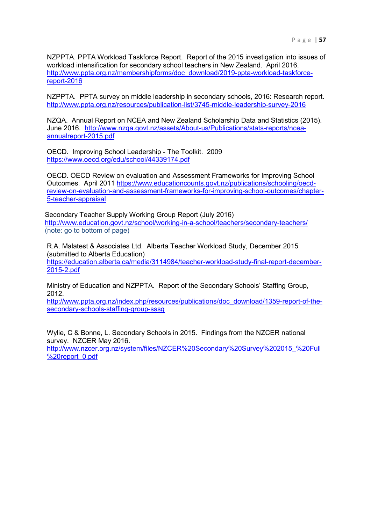NZPPTA. PPTA Workload Taskforce Report. Report of the 2015 investigation into issues of workload intensification for secondary school teachers in New Zealand. April 2016. [http://www.ppta.org.nz/membershipforms/doc\\_download/2019-ppta-workload-taskforce](http://www.ppta.org.nz/membershipforms/doc_download/2019-ppta-workload-taskforce-report-2016)[report-2016](http://www.ppta.org.nz/membershipforms/doc_download/2019-ppta-workload-taskforce-report-2016) 

NZPPTA. PPTA survey on middle leadership in secondary schools, 2016: Research report. <http://www.ppta.org.nz/resources/publication-list/3745-middle-leadership-survey-2016>

NZQA. Annual Report on NCEA and New Zealand Scholarship Data and Statistics (2015). June 2016. [http://www.nzqa.govt.nz/assets/About-us/Publications/stats-reports/ncea](http://www.nzqa.govt.nz/assets/About-us/Publications/stats-reports/ncea-annualreport-2015.pdf)[annualreport-2015.pdf](http://www.nzqa.govt.nz/assets/About-us/Publications/stats-reports/ncea-annualreport-2015.pdf) 

OECD. Improving School Leadership - The Toolkit. 2009 <https://www.oecd.org/edu/school/44339174.pdf>

OECD. OECD Review on evaluation and Assessment Frameworks for Improving School Outcomes. April 2011 [https://www.educationcounts.govt.nz/publications/schooling/oecd](https://www.educationcounts.govt.nz/publications/schooling/oecd-review-on-evaluation-and-assessment-frameworks-for-improving-school-outcomes/chapter-5-teacher-appraisal)[review-on-evaluation-and-assessment-frameworks-for-improving-school-outcomes/chapter-](https://www.educationcounts.govt.nz/publications/schooling/oecd-review-on-evaluation-and-assessment-frameworks-for-improving-school-outcomes/chapter-5-teacher-appraisal)[5-teacher-appraisal](https://www.educationcounts.govt.nz/publications/schooling/oecd-review-on-evaluation-and-assessment-frameworks-for-improving-school-outcomes/chapter-5-teacher-appraisal)

Secondary Teacher Supply Working Group Report (July 2016) <http://www.education.govt.nz/school/working-in-a-school/teachers/secondary-teachers/> (note: go to bottom of page)

R.A. Malatest & Associates Ltd. Alberta Teacher Workload Study, December 2015 (submitted to Alberta Education) [https://education.alberta.ca/media/3114984/teacher-workload-study-final-report-december-](https://education.alberta.ca/media/3114984/teacher-workload-study-final-report-december-2015-2.pdf)[2015-2.pdf](https://education.alberta.ca/media/3114984/teacher-workload-study-final-report-december-2015-2.pdf) 

Ministry of Education and NZPPTA. Report of the Secondary Schools' Staffing Group, 2012.

[http://www.ppta.org.nz/index.php/resources/publications/doc\\_download/1359-report-of-the](http://www.ppta.org.nz/index.php/resources/publications/doc_download/1359-report-of-the-secondary-schools-staffing-group-sssg)[secondary-schools-staffing-group-sssg](http://www.ppta.org.nz/index.php/resources/publications/doc_download/1359-report-of-the-secondary-schools-staffing-group-sssg) 

Wylie, C & Bonne, L. Secondary Schools in 2015. Findings from the NZCER national survey. NZCER May 2016. [http://www.nzcer.org.nz/system/files/NZCER%20Secondary%20Survey%202015\\_%20Full](http://www.nzcer.org.nz/system/files/NZCER%20Secondary%20Survey%202015_%20Full%20report_0.pdf) [%20report\\_0.pdf](http://www.nzcer.org.nz/system/files/NZCER%20Secondary%20Survey%202015_%20Full%20report_0.pdf)